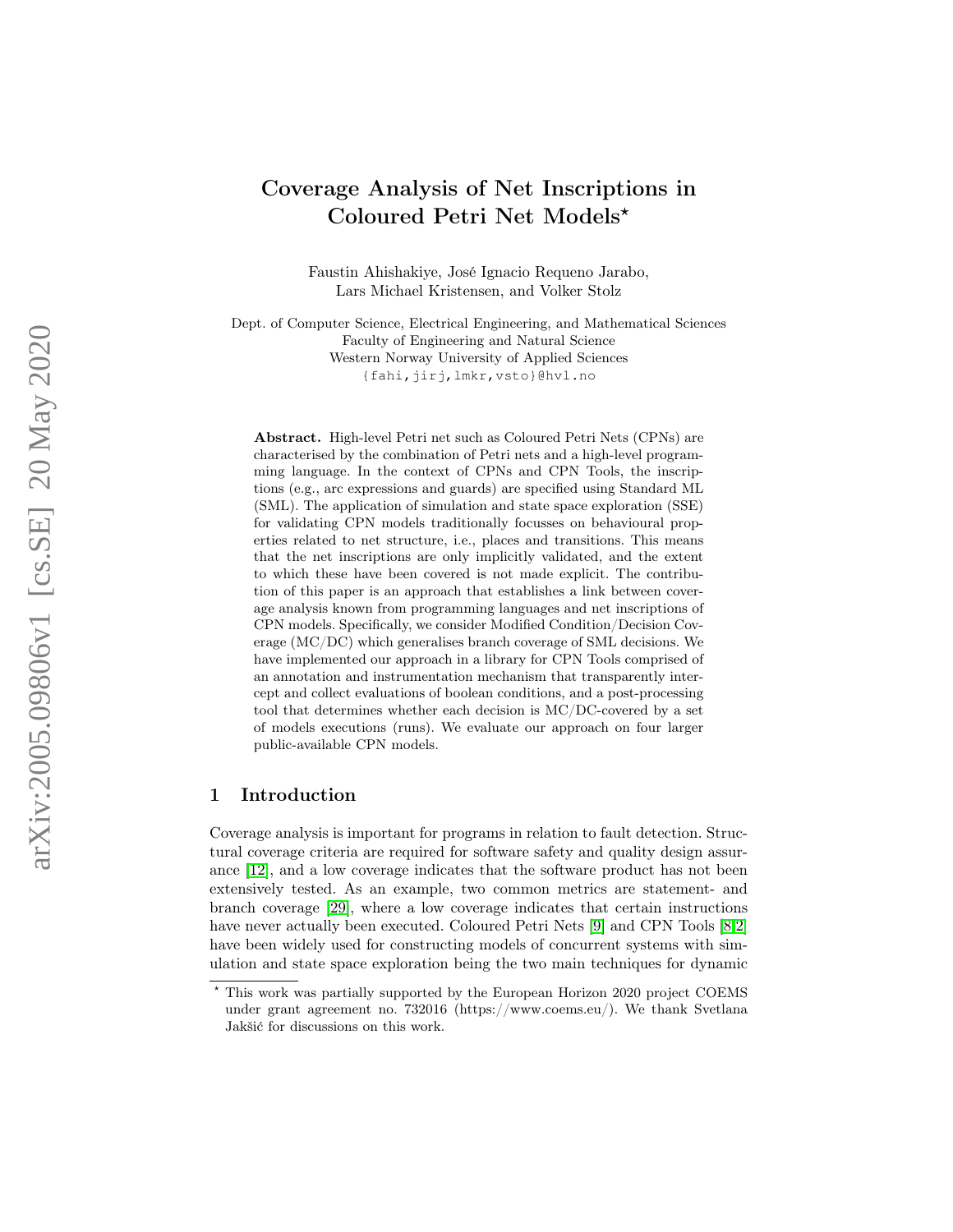# Coverage Analysis of Net Inscriptions in Coloured Petri Net Models ?

Faustin Ahishakiye, José Ignacio Requeno Jarabo, Lars Michael Kristensen, and Volker Stolz

Dept. of Computer Science, Electrical Engineering, and Mathematical Sciences Faculty of Engineering and Natural Science Western Norway University of Applied Sciences {fahi,jirj,lmkr,vsto}@hvl.no

Abstract. High-level Petri net such as Coloured Petri Nets (CPNs) are characterised by the combination of Petri nets and a high-level programming language. In the context of CPNs and CPN Tools, the inscriptions (e.g., arc expressions and guards) are specified using Standard ML (SML). The application of simulation and state space exploration (SSE) for validating CPN models traditionally focusses on behavioural properties related to net structure, i.e., places and transitions. This means that the net inscriptions are only implicitly validated, and the extent to which these have been covered is not made explicit. The contribution of this paper is an approach that establishes a link between coverage analysis known from programming languages and net inscriptions of CPN models. Specifically, we consider Modified Condition/Decision Coverage (MC/DC) which generalises branch coverage of SML decisions. We have implemented our approach in a library for CPN Tools comprised of an annotation and instrumentation mechanism that transparently intercept and collect evaluations of boolean conditions, and a post-processing tool that determines whether each decision is MC/DC-covered by a set of models executions (runs). We evaluate our approach on four larger public-available CPN models.

# 1 Introduction

Coverage analysis is important for programs in relation to fault detection. Structural coverage criteria are required for software safety and quality design assurance [\[12\]](#page-18-0), and a low coverage indicates that the software product has not been extensively tested. As an example, two common metrics are statement- and branch coverage [\[29\]](#page-19-0), where a low coverage indicates that certain instructions have never actually been executed. Coloured Petri Nets [\[9\]](#page-18-1) and CPN Tools [\[8,](#page-18-2)[2\]](#page-18-3) have been widely used for constructing models of concurrent systems with simulation and state space exploration being the two main techniques for dynamic

 $^{\star}$  This work was partially supported by the European Horizon 2020 project COEMS under grant agreement no. 732016 (https://www.coems.eu/). We thank Svetlana Jakšić for discussions on this work.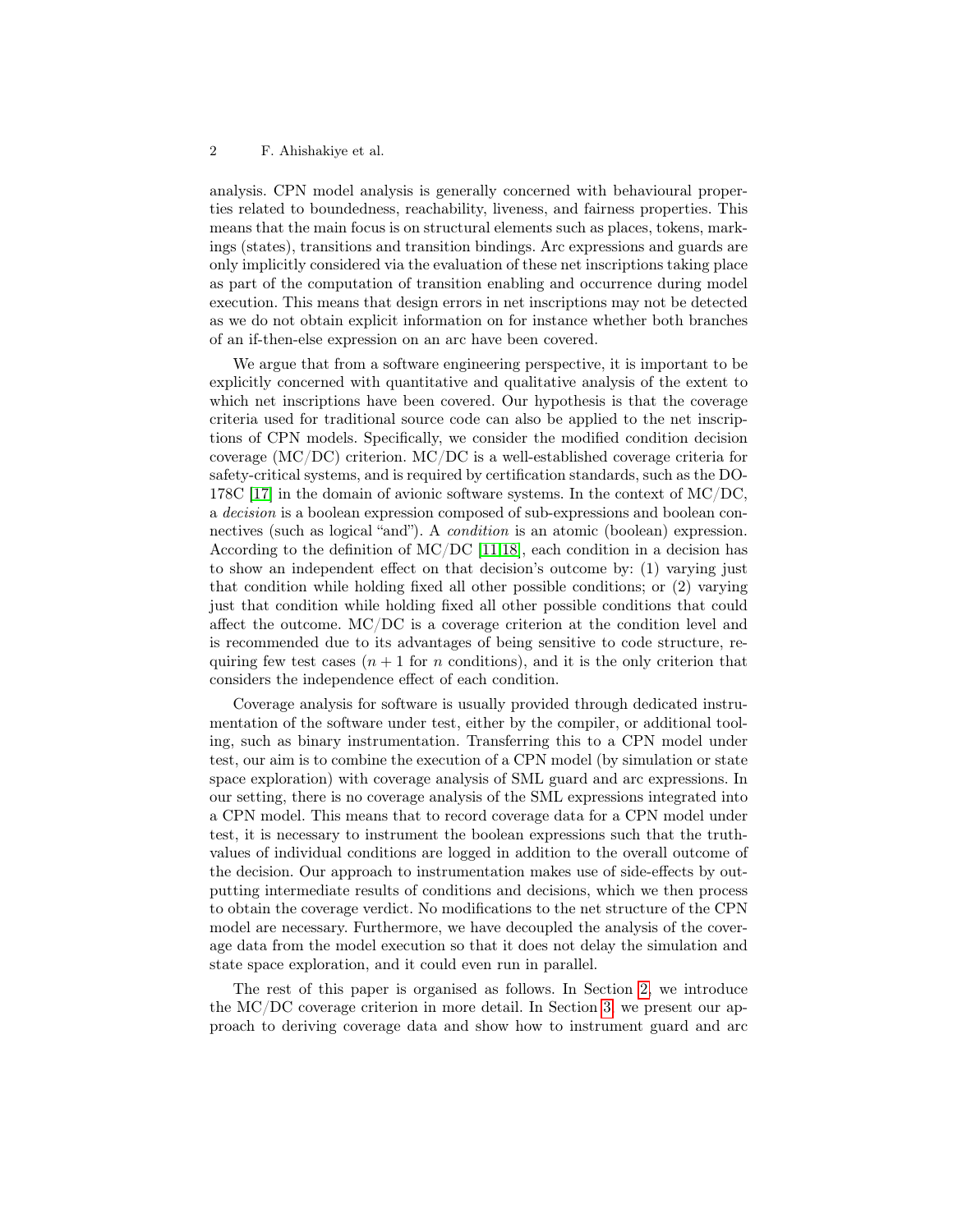analysis. CPN model analysis is generally concerned with behavioural properties related to boundedness, reachability, liveness, and fairness properties. This means that the main focus is on structural elements such as places, tokens, markings (states), transitions and transition bindings. Arc expressions and guards are only implicitly considered via the evaluation of these net inscriptions taking place as part of the computation of transition enabling and occurrence during model execution. This means that design errors in net inscriptions may not be detected as we do not obtain explicit information on for instance whether both branches of an if-then-else expression on an arc have been covered.

We argue that from a software engineering perspective, it is important to be explicitly concerned with quantitative and qualitative analysis of the extent to which net inscriptions have been covered. Our hypothesis is that the coverage criteria used for traditional source code can also be applied to the net inscriptions of CPN models. Specifically, we consider the modified condition decision coverage (MC/DC) criterion. MC/DC is a well-established coverage criteria for safety-critical systems, and is required by certification standards, such as the DO-178C [\[17\]](#page-19-1) in the domain of avionic software systems. In the context of MC/DC, a decision is a boolean expression composed of sub-expressions and boolean connectives (such as logical "and"). A *condition* is an atomic (boolean) expression. According to the definition of  $MC/DC$  [\[11,](#page-18-4)[18\]](#page-19-2), each condition in a decision has to show an independent effect on that decision's outcome by: (1) varying just that condition while holding fixed all other possible conditions; or (2) varying just that condition while holding fixed all other possible conditions that could affect the outcome. MC/DC is a coverage criterion at the condition level and is recommended due to its advantages of being sensitive to code structure, requiring few test cases  $(n + 1$  for n conditions), and it is the only criterion that considers the independence effect of each condition.

Coverage analysis for software is usually provided through dedicated instrumentation of the software under test, either by the compiler, or additional tooling, such as binary instrumentation. Transferring this to a CPN model under test, our aim is to combine the execution of a CPN model (by simulation or state space exploration) with coverage analysis of SML guard and arc expressions. In our setting, there is no coverage analysis of the SML expressions integrated into a CPN model. This means that to record coverage data for a CPN model under test, it is necessary to instrument the boolean expressions such that the truthvalues of individual conditions are logged in addition to the overall outcome of the decision. Our approach to instrumentation makes use of side-effects by outputting intermediate results of conditions and decisions, which we then process to obtain the coverage verdict. No modifications to the net structure of the CPN model are necessary. Furthermore, we have decoupled the analysis of the coverage data from the model execution so that it does not delay the simulation and state space exploration, and it could even run in parallel.

The rest of this paper is organised as follows. In Section [2,](#page-2-0) we introduce the MC/DC coverage criterion in more detail. In Section [3,](#page-5-0) we present our approach to deriving coverage data and show how to instrument guard and arc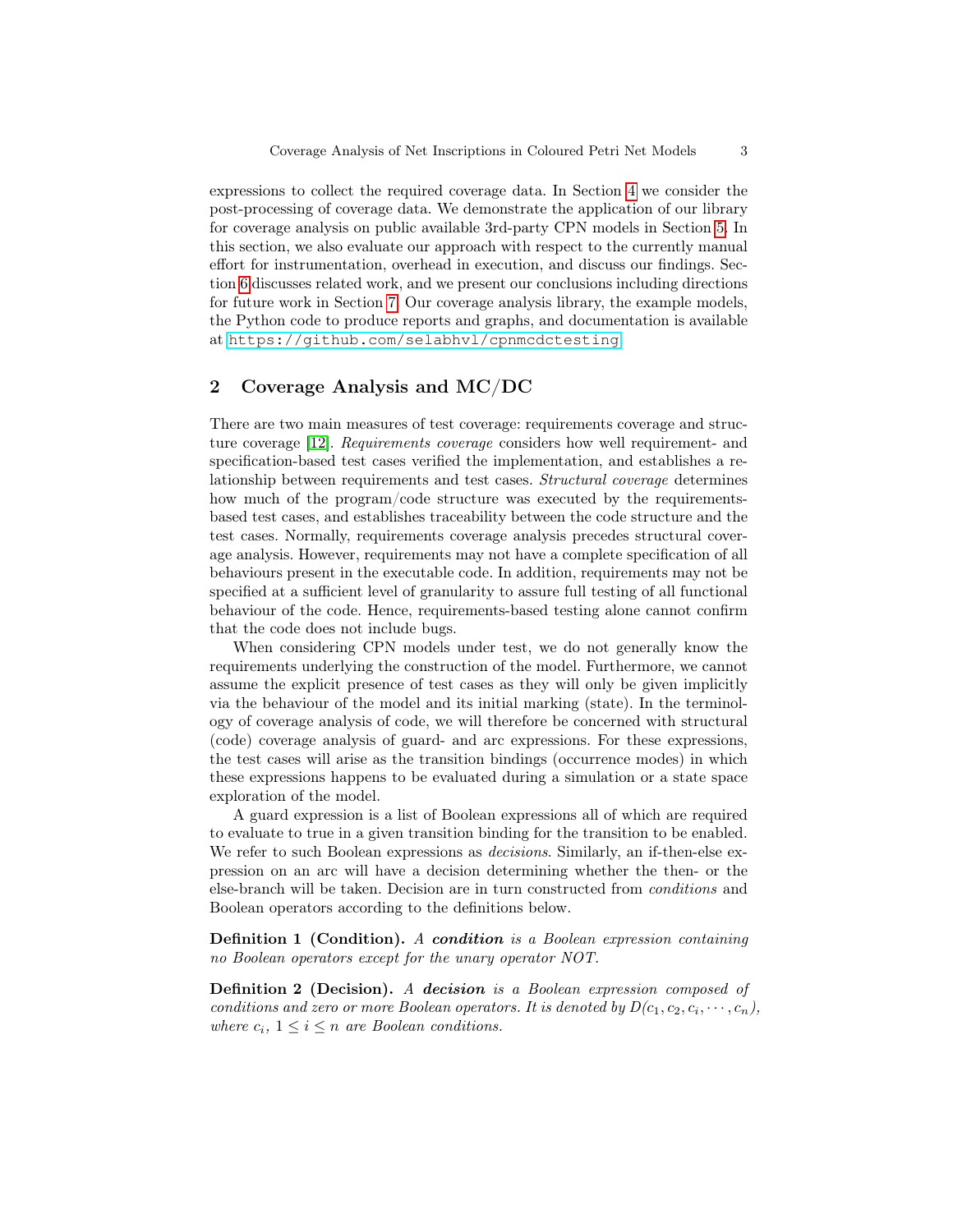expressions to collect the required coverage data. In Section [4](#page-9-0) we consider the post-processing of coverage data. We demonstrate the application of our library for coverage analysis on public available 3rd-party CPN models in Section [5.](#page-12-0) In this section, we also evaluate our approach with respect to the currently manual effort for instrumentation, overhead in execution, and discuss our findings. Section [6](#page-15-0) discusses related work, and we present our conclusions including directions for future work in Section [7.](#page-16-0) Our coverage analysis library, the example models, the Python code to produce reports and graphs, and documentation is available at <https://github.com/selabhvl/cpnmcdctesting>.

# <span id="page-2-0"></span>2 Coverage Analysis and MC/DC

There are two main measures of test coverage: requirements coverage and structure coverage [\[12\]](#page-18-0). Requirements coverage considers how well requirement- and specification-based test cases verified the implementation, and establishes a relationship between requirements and test cases. Structural coverage determines how much of the program/code structure was executed by the requirementsbased test cases, and establishes traceability between the code structure and the test cases. Normally, requirements coverage analysis precedes structural coverage analysis. However, requirements may not have a complete specification of all behaviours present in the executable code. In addition, requirements may not be specified at a sufficient level of granularity to assure full testing of all functional behaviour of the code. Hence, requirements-based testing alone cannot confirm that the code does not include bugs.

When considering CPN models under test, we do not generally know the requirements underlying the construction of the model. Furthermore, we cannot assume the explicit presence of test cases as they will only be given implicitly via the behaviour of the model and its initial marking (state). In the terminology of coverage analysis of code, we will therefore be concerned with structural (code) coverage analysis of guard- and arc expressions. For these expressions, the test cases will arise as the transition bindings (occurrence modes) in which these expressions happens to be evaluated during a simulation or a state space exploration of the model.

A guard expression is a list of Boolean expressions all of which are required to evaluate to true in a given transition binding for the transition to be enabled. We refer to such Boolean expressions as *decisions*. Similarly, an if-then-else expression on an arc will have a decision determining whether the then- or the else-branch will be taken. Decision are in turn constructed from conditions and Boolean operators according to the definitions below.

Definition 1 (Condition). A condition is a Boolean expression containing no Boolean operators except for the unary operator NOT.

Definition 2 (Decision). A decision is a Boolean expression composed of conditions and zero or more Boolean operators. It is denoted by  $D(c_1, c_2, c_i, \dots, c_n)$ , where  $c_i$ ,  $1 \leq i \leq n$  are Boolean conditions.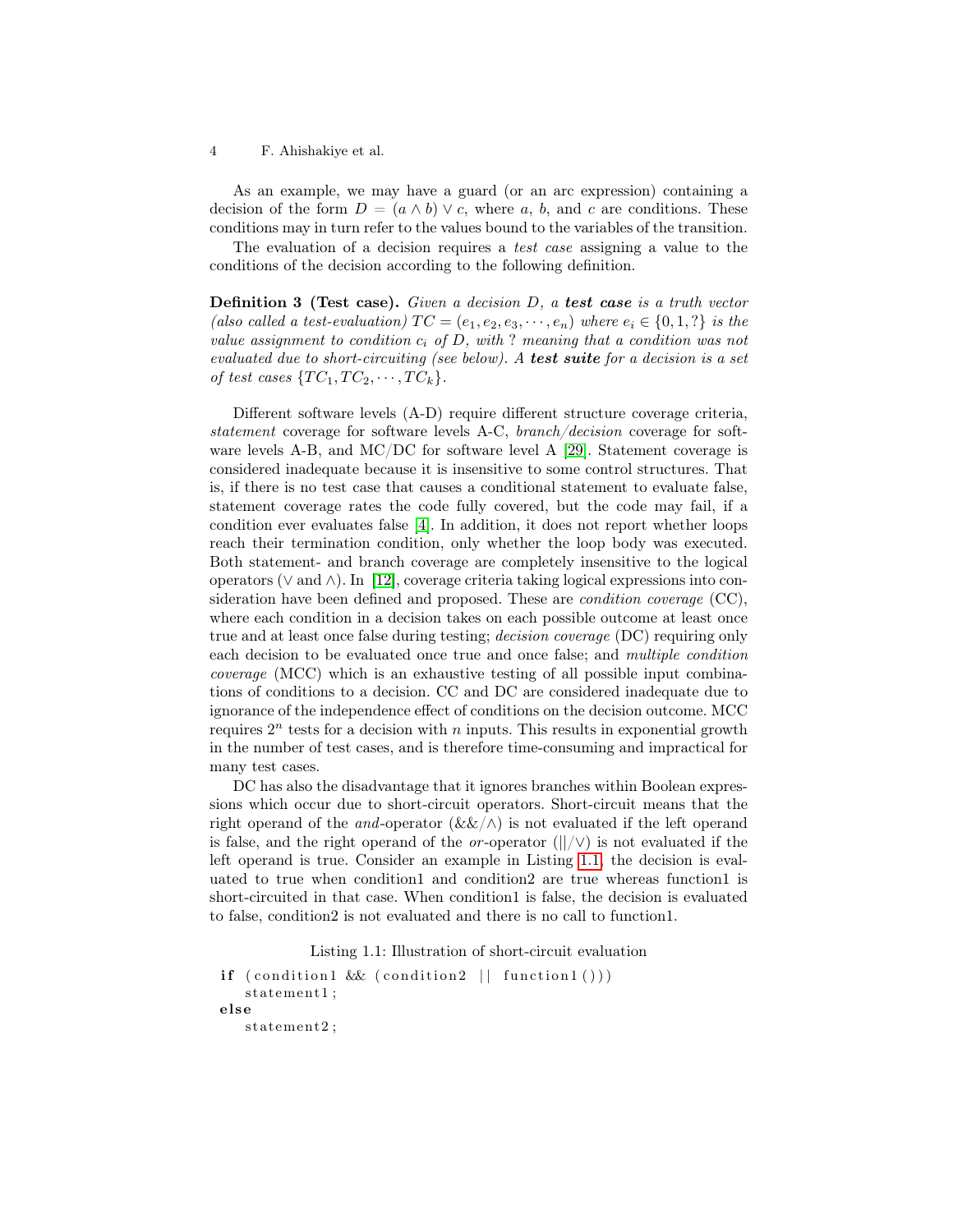As an example, we may have a guard (or an arc expression) containing a decision of the form  $D = (a \wedge b) \vee c$ , where a, b, and c are conditions. These conditions may in turn refer to the values bound to the variables of the transition.

The evaluation of a decision requires a test case assigning a value to the conditions of the decision according to the following definition.

**Definition 3** (Test case). Given a decision  $D$ , a test case is a truth vector (also called a test-evaluation)  $TC = (e_1, e_2, e_3, \dots, e_n)$  where  $e_i \in \{0, 1, ?\}$  is the value assignment to condition  $c_i$  of  $D$ , with ? meaning that a condition was not evaluated due to short-circuiting (see below). A test suite for a decision is a set of test cases  $\{TC_1, TC_2, \cdots, TC_k\}.$ 

Different software levels (A-D) require different structure coverage criteria, statement coverage for software levels A-C, branch/decision coverage for soft-ware levels A-B, and MC/DC for software level A [\[29\]](#page-19-0). Statement coverage is considered inadequate because it is insensitive to some control structures. That is, if there is no test case that causes a conditional statement to evaluate false, statement coverage rates the code fully covered, but the code may fail, if a condition ever evaluates false [\[4\]](#page-18-5). In addition, it does not report whether loops reach their termination condition, only whether the loop body was executed. Both statement- and branch coverage are completely insensitive to the logical operators (∨ and ∧). In [\[12\]](#page-18-0), coverage criteria taking logical expressions into consideration have been defined and proposed. These are condition coverage (CC), where each condition in a decision takes on each possible outcome at least once true and at least once false during testing; decision coverage (DC) requiring only each decision to be evaluated once true and once false; and multiple condition coverage (MCC) which is an exhaustive testing of all possible input combinations of conditions to a decision. CC and DC are considered inadequate due to ignorance of the independence effect of conditions on the decision outcome. MCC requires  $2^n$  tests for a decision with n inputs. This results in exponential growth in the number of test cases, and is therefore time-consuming and impractical for many test cases.

DC has also the disadvantage that it ignores branches within Boolean expressions which occur due to short-circuit operators. Short-circuit means that the right operand of the and-operator  $(\&\&/\wedge)$  is not evaluated if the left operand is false, and the right operand of the *or*-operator ( $||/\vee$ ) is not evaluated if the left operand is true. Consider an example in Listing [1.1,](#page-3-0) the decision is evaluated to true when condition1 and condition2 are true whereas function1 is short-circuited in that case. When condition1 is false, the decision is evaluated to false, condition2 is not evaluated and there is no call to function1.

Listing 1.1: Illustration of short-circuit evaluation

```
if (condition1 && (condition2 || function1()))
   statement1;
else
   statement2;
```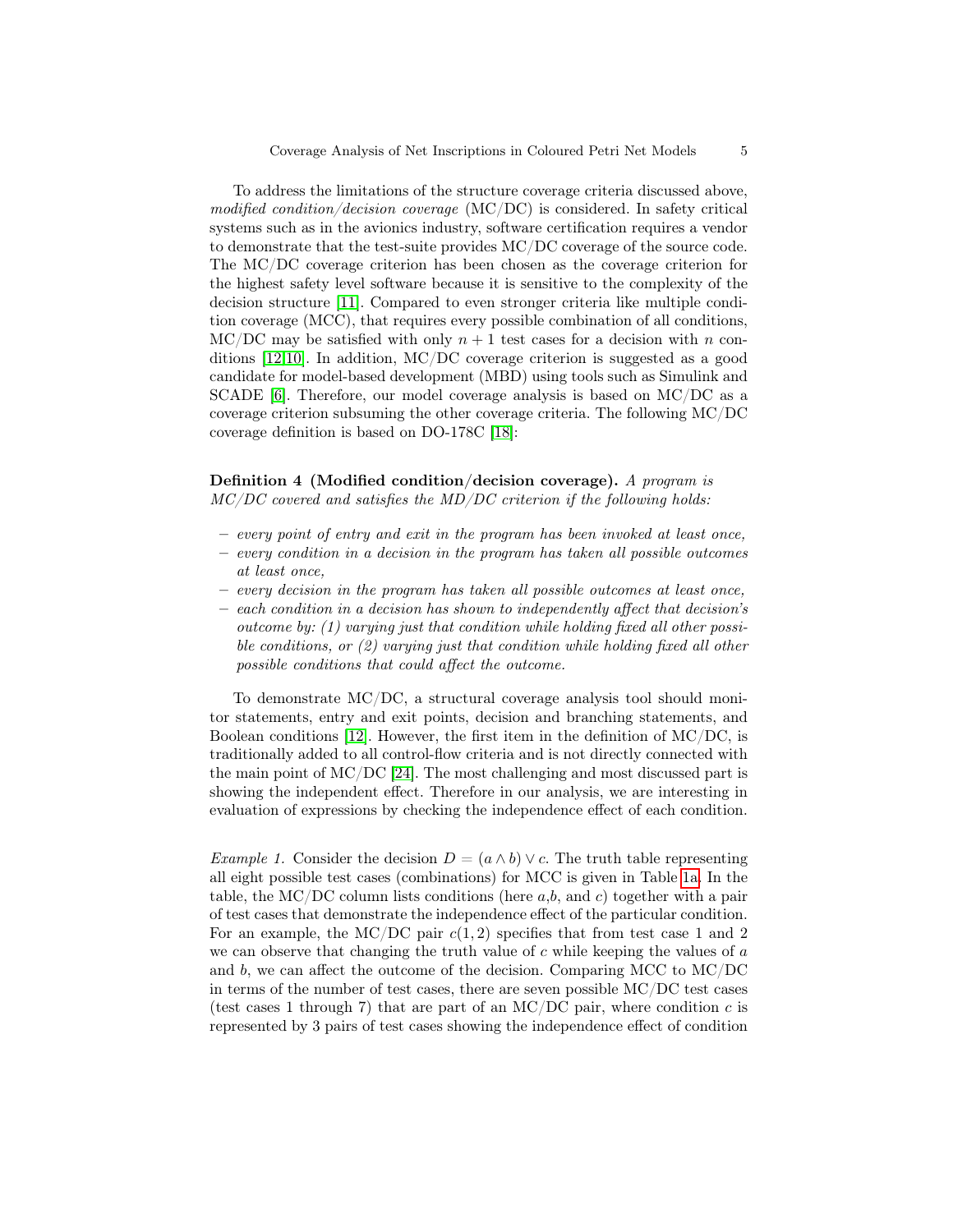To address the limitations of the structure coverage criteria discussed above, modified condition/decision coverage  $(MC/DC)$  is considered. In safety critical systems such as in the avionics industry, software certification requires a vendor to demonstrate that the test-suite provides MC/DC coverage of the source code. The MC/DC coverage criterion has been chosen as the coverage criterion for the highest safety level software because it is sensitive to the complexity of the decision structure [\[11\]](#page-18-4). Compared to even stronger criteria like multiple condition coverage (MCC), that requires every possible combination of all conditions, MC/DC may be satisfied with only  $n + 1$  test cases for a decision with n conditions [\[12,](#page-18-0)[10\]](#page-18-6). In addition, MC/DC coverage criterion is suggested as a good candidate for model-based development (MBD) using tools such as Simulink and SCADE [\[6\]](#page-18-7). Therefore, our model coverage analysis is based on MC/DC as a coverage criterion subsuming the other coverage criteria. The following MC/DC coverage definition is based on DO-178C [\[18\]](#page-19-2):

Definition 4 (Modified condition/decision coverage). A program is MC/DC covered and satisfies the MD/DC criterion if the following holds:

- every point of entry and exit in the program has been invoked at least once,
- every condition in a decision in the program has taken all possible outcomes at least once,
- every decision in the program has taken all possible outcomes at least once,
- each condition in a decision has shown to independently affect that decision's outcome by: (1) varying just that condition while holding fixed all other possible conditions, or (2) varying just that condition while holding fixed all other possible conditions that could affect the outcome.

To demonstrate MC/DC, a structural coverage analysis tool should monitor statements, entry and exit points, decision and branching statements, and Boolean conditions [\[12\]](#page-18-0). However, the first item in the definition of MC/DC, is traditionally added to all control-flow criteria and is not directly connected with the main point of MC/DC [\[24\]](#page-19-3). The most challenging and most discussed part is showing the independent effect. Therefore in our analysis, we are interesting in evaluation of expressions by checking the independence effect of each condition.

Example 1. Consider the decision  $D = (a \wedge b) \vee c$ . The truth table representing all eight possible test cases (combinations) for MCC is given in Table [1a.](#page-5-1) In the table, the MC/DC column lists conditions (here  $a,b$ , and c) together with a pair of test cases that demonstrate the independence effect of the particular condition. For an example, the MC/DC pair  $c(1, 2)$  specifies that from test case 1 and 2 we can observe that changing the truth value of  $c$  while keeping the values of  $a$ and b, we can affect the outcome of the decision. Comparing MCC to  $MC/DC$ in terms of the number of test cases, there are seven possible MC/DC test cases (test cases 1 through 7) that are part of an MC/DC pair, where condition  $c$  is represented by 3 pairs of test cases showing the independence effect of condition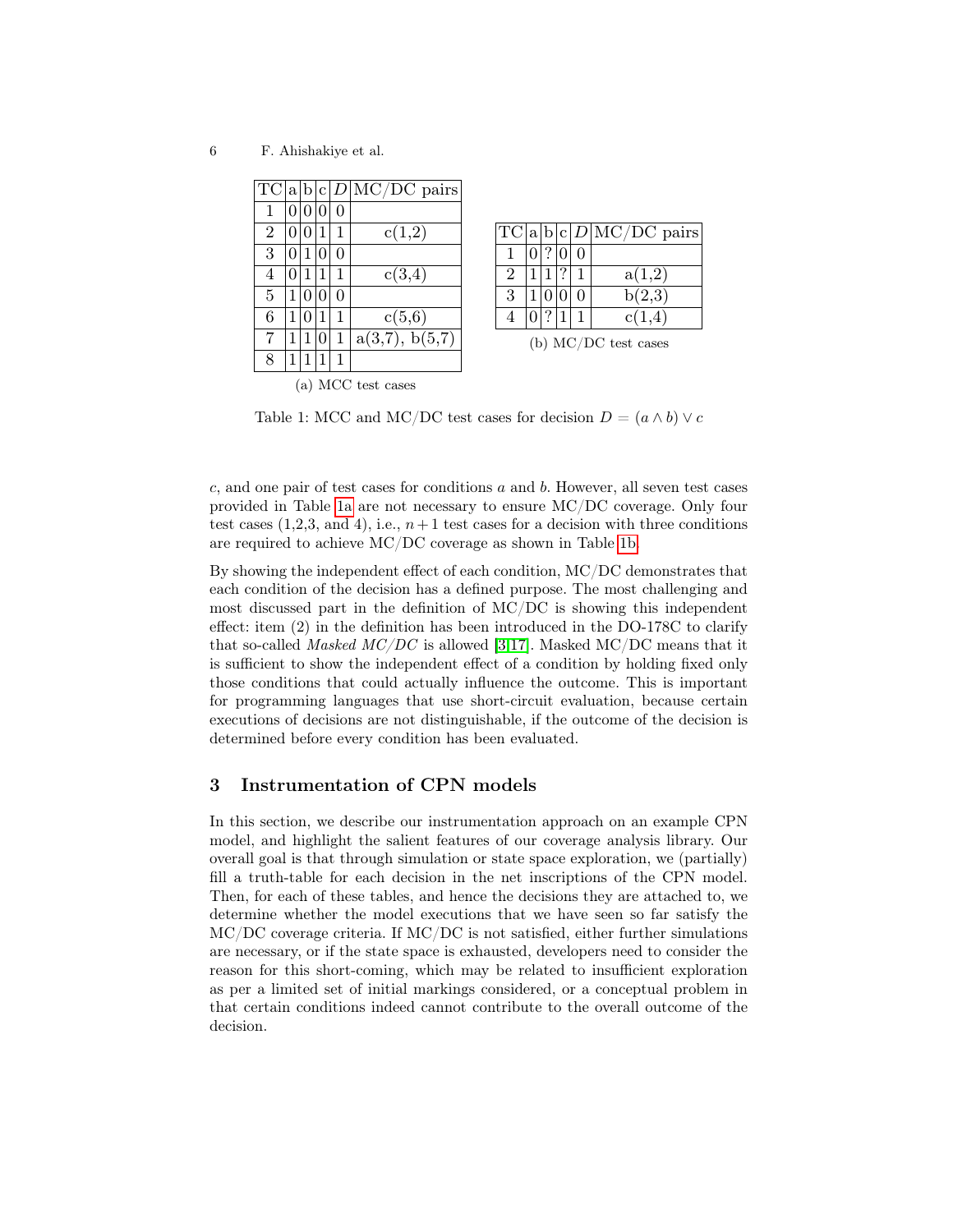<sup>6</sup> F. Ahishakiye et al.

<span id="page-5-2"></span>

|                    |  |          |  |                  | $TC a b c D MC/DC$ pairs |                        |    |   |   |   |                  |                              |  |
|--------------------|--|----------|--|------------------|--------------------------|------------------------|----|---|---|---|------------------|------------------------------|--|
|                    |  | $\theta$ |  | $\left( \right)$ |                          |                        |    |   |   |   |                  |                              |  |
| $\overline{2}$     |  | 0        |  |                  | c(1,2)                   |                        | TС |   |   |   |                  | $\sqrt{a b c D MC/DC}$ pairs |  |
| 3                  |  |          |  | $\left($         |                          |                        |    | 0 | ? |   | $\left( \right)$ |                              |  |
| 4                  |  |          |  | 1                | c(3,4)                   |                        | 2  | 1 |   | ? |                  | a(1,2)                       |  |
| 5                  |  |          |  | $\left( \right)$ |                          |                        | 3  |   |   |   | $\mathbf{0}$     | b(2,3                        |  |
| 6                  |  | $\theta$ |  | 1                | c(5,6)                   |                        | 4  |   | റ |   |                  | c(1,4)                       |  |
| 7                  |  | 1        |  | 1                | a(3,7), b(5,7)           | (b) $MC/DC$ test cases |    |   |   |   |                  |                              |  |
| 8                  |  |          |  | 1                |                          |                        |    |   |   |   |                  |                              |  |
| (a) MCC test cases |  |          |  |                  |                          |                        |    |   |   |   |                  |                              |  |

Table 1: MCC and MC/DC test cases for decision  $D = (a \wedge b) \vee c$ 

 $c$ , and one pair of test cases for conditions  $a$  and  $b$ . However, all seven test cases provided in Table [1a](#page-5-1) are not necessary to ensure MC/DC coverage. Only four test cases  $(1,2,3, \text{ and } 4)$ , i.e.,  $n+1$  test cases for a decision with three conditions are required to achieve MC/DC coverage as shown in Table [1b.](#page-5-2)

By showing the independent effect of each condition, MC/DC demonstrates that each condition of the decision has a defined purpose. The most challenging and most discussed part in the definition of MC/DC is showing this independent effect: item (2) in the definition has been introduced in the DO-178C to clarify that so-called *Masked MC/DC* is allowed [\[3](#page-18-8)[,17\]](#page-19-1). Masked MC/DC means that it is sufficient to show the independent effect of a condition by holding fixed only those conditions that could actually influence the outcome. This is important for programming languages that use short-circuit evaluation, because certain executions of decisions are not distinguishable, if the outcome of the decision is determined before every condition has been evaluated.

# <span id="page-5-0"></span>3 Instrumentation of CPN models

In this section, we describe our instrumentation approach on an example CPN model, and highlight the salient features of our coverage analysis library. Our overall goal is that through simulation or state space exploration, we (partially) fill a truth-table for each decision in the net inscriptions of the CPN model. Then, for each of these tables, and hence the decisions they are attached to, we determine whether the model executions that we have seen so far satisfy the MC/DC coverage criteria. If MC/DC is not satisfied, either further simulations are necessary, or if the state space is exhausted, developers need to consider the reason for this short-coming, which may be related to insufficient exploration as per a limited set of initial markings considered, or a conceptual problem in that certain conditions indeed cannot contribute to the overall outcome of the decision.

<span id="page-5-1"></span>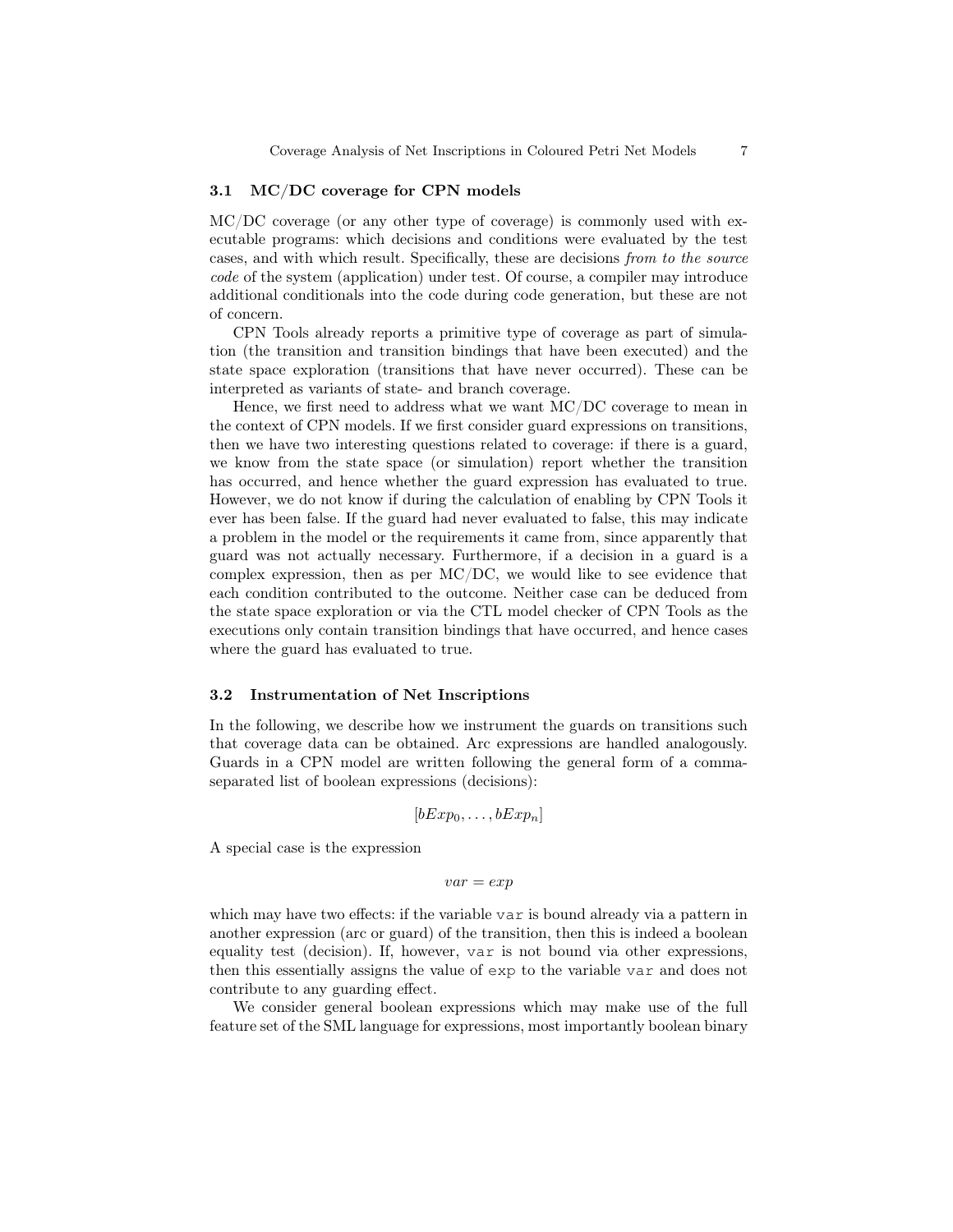#### 3.1 MC/DC coverage for CPN models

MC/DC coverage (or any other type of coverage) is commonly used with executable programs: which decisions and conditions were evaluated by the test cases, and with which result. Specifically, these are decisions from to the source code of the system (application) under test. Of course, a compiler may introduce additional conditionals into the code during code generation, but these are not of concern.

CPN Tools already reports a primitive type of coverage as part of simulation (the transition and transition bindings that have been executed) and the state space exploration (transitions that have never occurred). These can be interpreted as variants of state- and branch coverage.

Hence, we first need to address what we want MC/DC coverage to mean in the context of CPN models. If we first consider guard expressions on transitions, then we have two interesting questions related to coverage: if there is a guard, we know from the state space (or simulation) report whether the transition has occurred, and hence whether the guard expression has evaluated to true. However, we do not know if during the calculation of enabling by CPN Tools it ever has been false. If the guard had never evaluated to false, this may indicate a problem in the model or the requirements it came from, since apparently that guard was not actually necessary. Furthermore, if a decision in a guard is a complex expression, then as per  $MC/DC$ , we would like to see evidence that each condition contributed to the outcome. Neither case can be deduced from the state space exploration or via the CTL model checker of CPN Tools as the executions only contain transition bindings that have occurred, and hence cases where the guard has evaluated to true.

#### 3.2 Instrumentation of Net Inscriptions

In the following, we describe how we instrument the guards on transitions such that coverage data can be obtained. Arc expressions are handled analogously. Guards in a CPN model are written following the general form of a commaseparated list of boolean expressions (decisions):

$$
[bExp_0, \ldots, bExp_n]
$$

A special case is the expression

 $var = exp$ 

which may have two effects: if the variable var is bound already via a pattern in another expression (arc or guard) of the transition, then this is indeed a boolean equality test (decision). If, however, var is not bound via other expressions, then this essentially assigns the value of exp to the variable var and does not contribute to any guarding effect.

We consider general boolean expressions which may make use of the full feature set of the SML language for expressions, most importantly boolean binary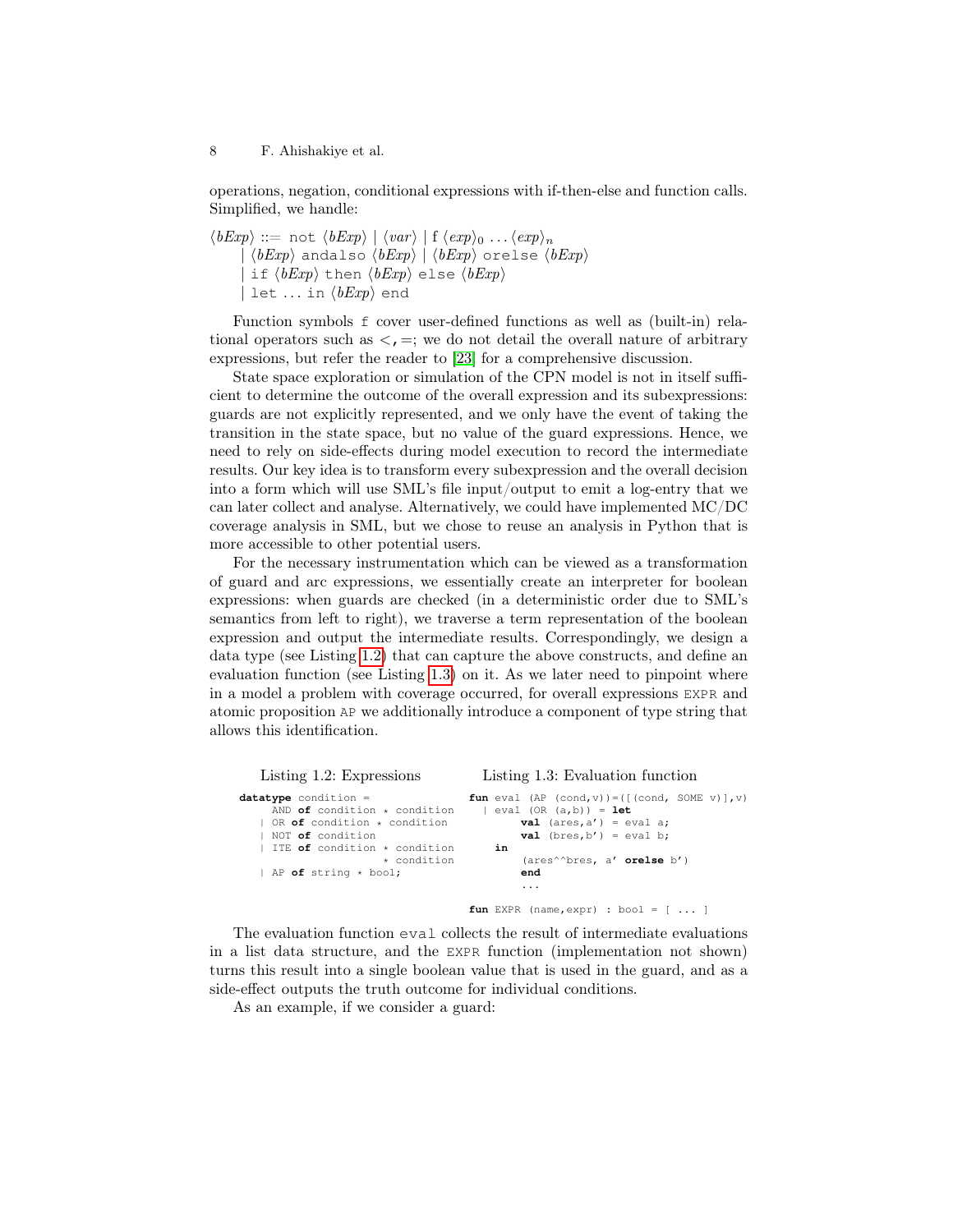operations, negation, conditional expressions with if-then-else and function calls. Simplified, we handle:

$$
\langle bExp \rangle ::= \text{not} \langle bExp \rangle | \langle var \rangle | f \langle exp \rangle_0 ... \langle exp \rangle_n
$$
  
 
$$
| \langle bExp \rangle \text{ and also } \langle bExp \rangle | \langle bExp \rangle \text{ or else } \langle bExp \rangle
$$
  
 
$$
| \text{ if } \langle bExp \rangle \text{ then } \langle bExp \rangle \text{ else } \langle bExp \rangle
$$
  
 
$$
| \text{ let } ... \text{ in } \langle bExp \rangle \text{ end}
$$

Function symbols f cover user-defined functions as well as (built-in) relational operators such as  $\lt$ , =; we do not detail the overall nature of arbitrary expressions, but refer the reader to [\[23\]](#page-19-4) for a comprehensive discussion.

State space exploration or simulation of the CPN model is not in itself sufficient to determine the outcome of the overall expression and its subexpressions: guards are not explicitly represented, and we only have the event of taking the transition in the state space, but no value of the guard expressions. Hence, we need to rely on side-effects during model execution to record the intermediate results. Our key idea is to transform every subexpression and the overall decision into a form which will use SML's file input/output to emit a log-entry that we can later collect and analyse. Alternatively, we could have implemented MC/DC coverage analysis in SML, but we chose to reuse an analysis in Python that is more accessible to other potential users.

For the necessary instrumentation which can be viewed as a transformation of guard and arc expressions, we essentially create an interpreter for boolean expressions: when guards are checked (in a deterministic order due to SML's semantics from left to right), we traverse a term representation of the boolean expression and output the intermediate results. Correspondingly, we design a data type (see Listing [1.2\)](#page-7-0) that can capture the above constructs, and define an evaluation function (see Listing [1.3\)](#page-7-1) on it. As we later need to pinpoint where in a model a problem with coverage occurred, for overall expressions EXPR and atomic proposition AP we additionally introduce a component of type string that allows this identification.

<span id="page-7-1"></span><span id="page-7-0"></span>

The evaluation function eval collects the result of intermediate evaluations in a list data structure, and the EXPR function (implementation not shown) turns this result into a single boolean value that is used in the guard, and as a side-effect outputs the truth outcome for individual conditions.

As an example, if we consider a guard: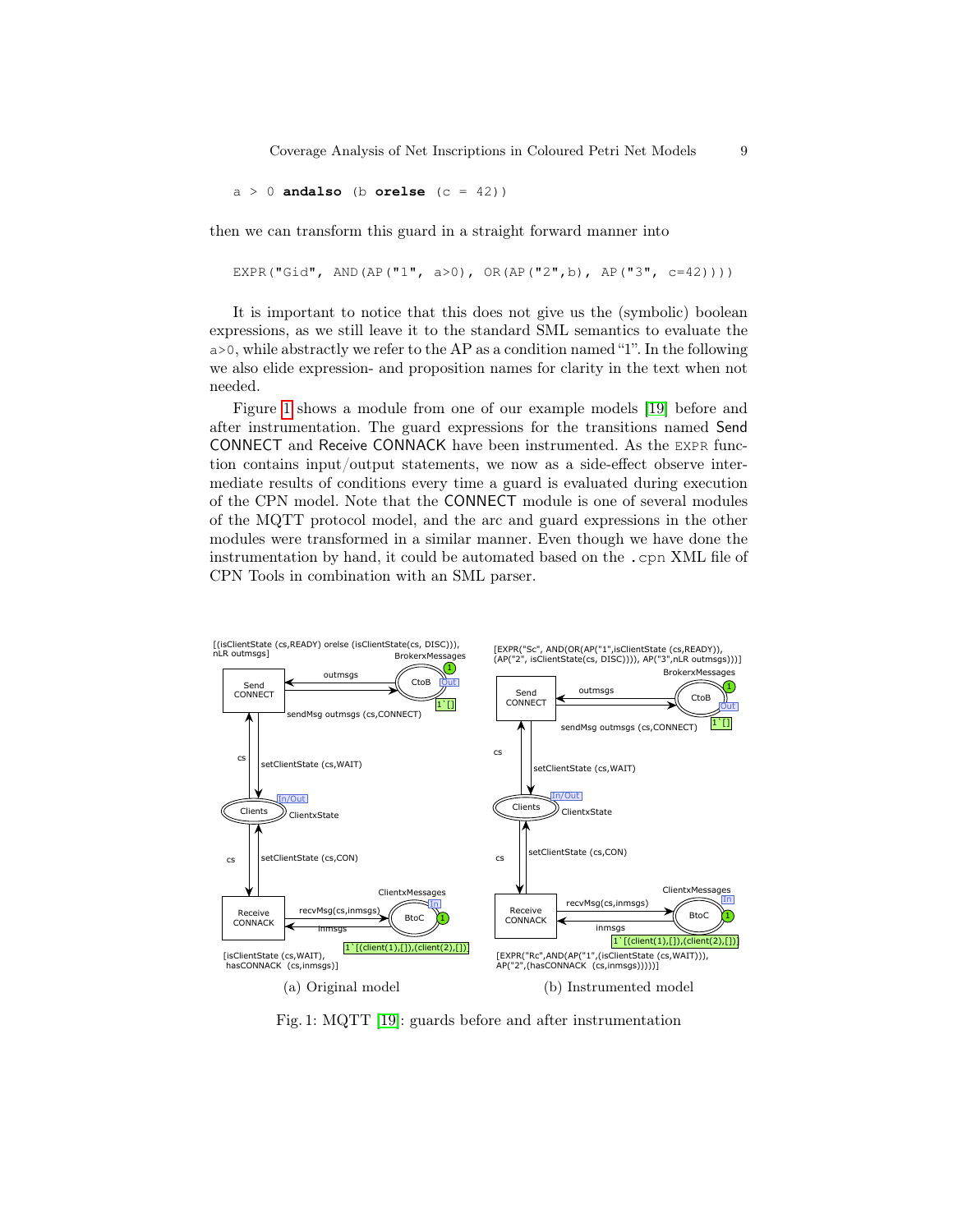Coverage Analysis of Net Inscriptions in Coloured Petri Net Models 9

```
a > 0 andalso (b orelse (c = 42))
```
then we can transform this guard in a straight forward manner into

EXPR("Gid", AND(AP("1", a>0), OR(AP("2",b), AP("3", c=42))))

It is important to notice that this does not give us the (symbolic) boolean expressions, as we still leave it to the standard SML semantics to evaluate the  $a>0$ , while abstractly we refer to the AP as a condition named "1". In the following we also elide expression- and proposition names for clarity in the text when not needed.

Figure [1](#page-8-0) shows a module from one of our example models [\[19\]](#page-19-5) before and after instrumentation. The guard expressions for the transitions named Send CONNECT and Receive CONNACK have been instrumented. As the EXPR function contains input/output statements, we now as a side-effect observe intermediate results of conditions every time a guard is evaluated during execution of the CPN model. Note that the CONNECT module is one of several modules of the MQTT protocol model, and the arc and guard expressions in the other modules were transformed in a similar manner. Even though we have done the instrumentation by hand, it could be automated based on the .cpn XML file of CPN Tools in combination with an SML parser.

<span id="page-8-0"></span>

Fig. 1: MQTT [\[19\]](#page-19-5): guards before and after instrumentation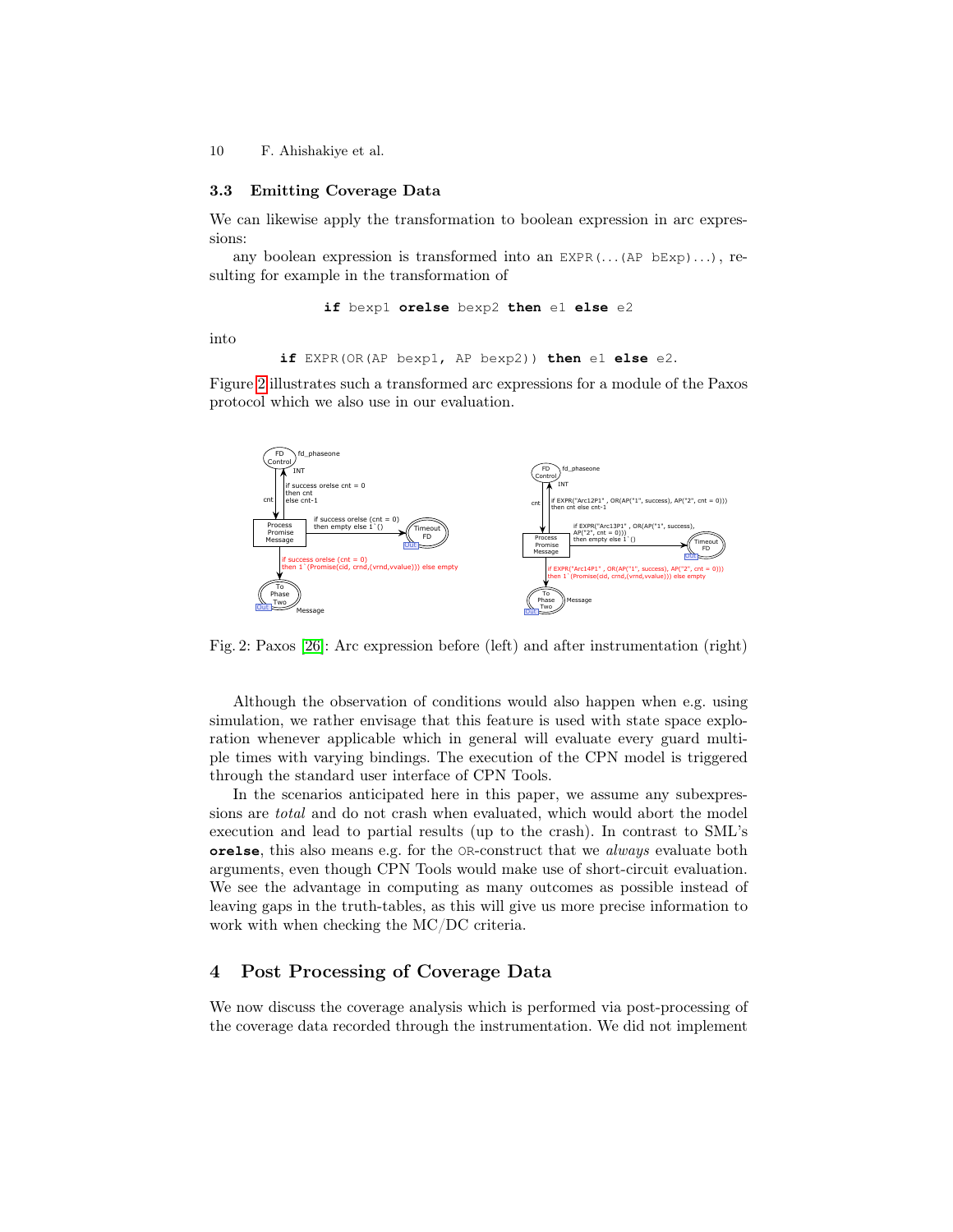#### 3.3 Emitting Coverage Data

We can likewise apply the transformation to boolean expression in arc expressions:

any boolean expression is transformed into an  $EXPR$ (...(AP  $bExp$ )...), resulting for example in the transformation of

## **if** bexp1 **orelse** bexp2 **then** e1 **else** e2

into

**if** EXPR(OR(AP bexp1, AP bexp2)) **then** e1 **else** e2.

Figure [2](#page-9-1) illustrates such a transformed arc expressions for a module of the Paxos protocol which we also use in our evaluation.

<span id="page-9-1"></span>

Fig. 2: Paxos [\[26\]](#page-19-6): Arc expression before (left) and after instrumentation (right)

Although the observation of conditions would also happen when e.g. using simulation, we rather envisage that this feature is used with state space exploration whenever applicable which in general will evaluate every guard multiple times with varying bindings. The execution of the CPN model is triggered through the standard user interface of CPN Tools.

In the scenarios anticipated here in this paper, we assume any subexpressions are total and do not crash when evaluated, which would abort the model execution and lead to partial results (up to the crash). In contrast to SML's **orelse**, this also means e.g. for the OR-construct that we always evaluate both arguments, even though CPN Tools would make use of short-circuit evaluation. We see the advantage in computing as many outcomes as possible instead of leaving gaps in the truth-tables, as this will give us more precise information to work with when checking the MC/DC criteria.

# <span id="page-9-0"></span>4 Post Processing of Coverage Data

We now discuss the coverage analysis which is performed via post-processing of the coverage data recorded through the instrumentation. We did not implement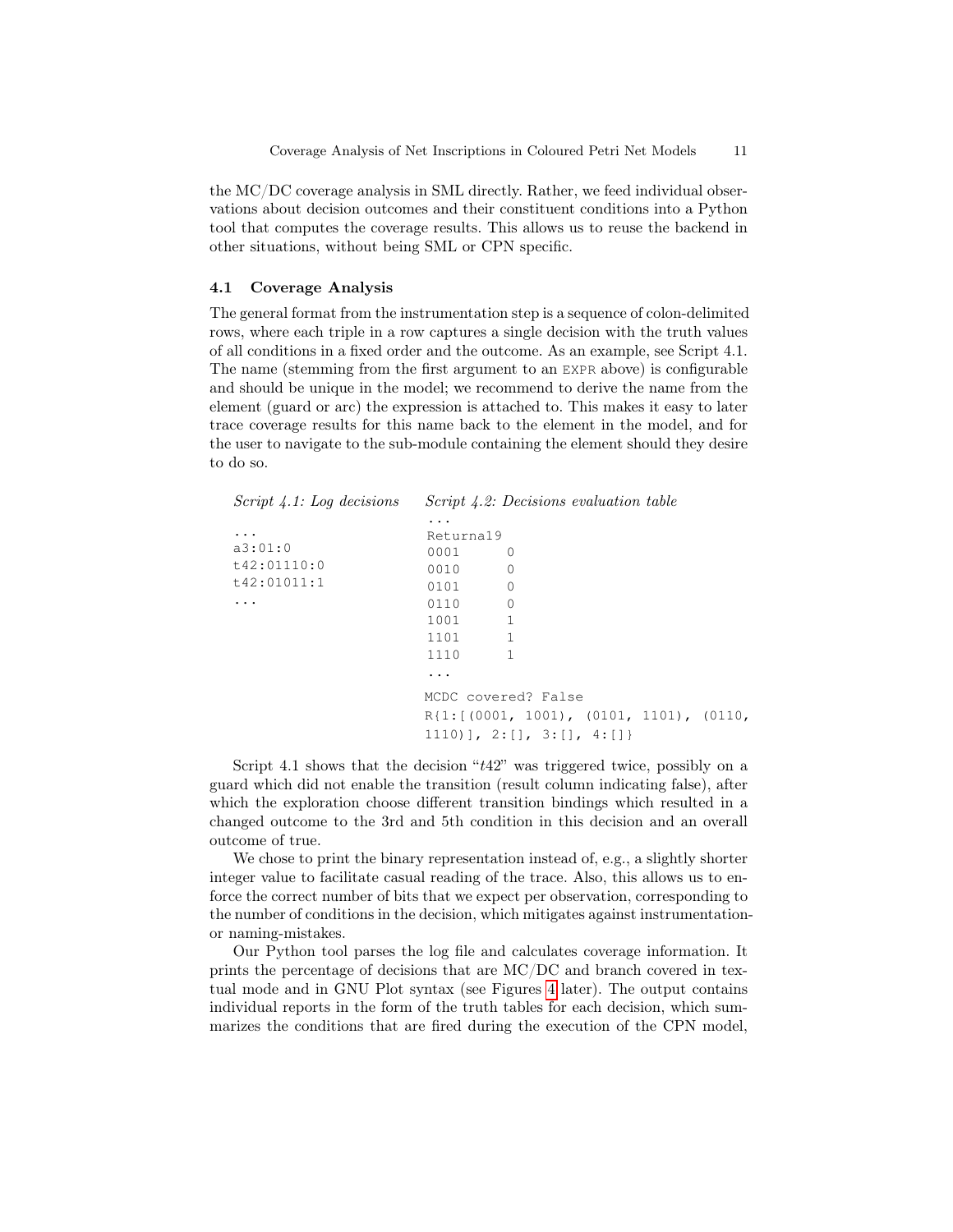the MC/DC coverage analysis in SML directly. Rather, we feed individual observations about decision outcomes and their constituent conditions into a Python tool that computes the coverage results. This allows us to reuse the backend in other situations, without being SML or CPN specific.

## 4.1 Coverage Analysis

The general format from the instrumentation step is a sequence of colon-delimited rows, where each triple in a row captures a single decision with the truth values of all conditions in a fixed order and the outcome. As an example, see Script 4.1. The name (stemming from the first argument to an EXPR above) is configurable and should be unique in the model; we recommend to derive the name from the element (guard or arc) the expression is attached to. This makes it easy to later trace coverage results for this name back to the element in the model, and for the user to navigate to the sub-module containing the element should they desire to do so.

| Script 4.1: Log decisions | Script 4.2: Decisions evaluation table     |                                 |  |  |  |  |  |
|---------------------------|--------------------------------------------|---------------------------------|--|--|--|--|--|
|                           |                                            |                                 |  |  |  |  |  |
|                           | Returna19                                  |                                 |  |  |  |  |  |
| a3:01:0                   | 0001                                       | 0                               |  |  |  |  |  |
| t42:01110:0               | 0010                                       | $\Omega$                        |  |  |  |  |  |
| t42:01011:1               | 0101                                       | $\mathbf{0}$                    |  |  |  |  |  |
|                           | 0110                                       | $\circ$                         |  |  |  |  |  |
|                           | 1001                                       | $\mathbf{1}$                    |  |  |  |  |  |
|                           | 1101                                       | 1                               |  |  |  |  |  |
|                           | 1110                                       | 1                               |  |  |  |  |  |
|                           |                                            |                                 |  |  |  |  |  |
|                           | MCDC covered? False                        |                                 |  |  |  |  |  |
|                           | $R{1:}$ (0001, 1001), (0101, 1101), (0110, |                                 |  |  |  |  |  |
|                           |                                            | $1110)$ ], 2: [], 3: [], 4: []} |  |  |  |  |  |

Script 4.1 shows that the decision "t42" was triggered twice, possibly on a guard which did not enable the transition (result column indicating false), after which the exploration choose different transition bindings which resulted in a changed outcome to the 3rd and 5th condition in this decision and an overall outcome of true.

We chose to print the binary representation instead of, e.g., a slightly shorter integer value to facilitate casual reading of the trace. Also, this allows us to enforce the correct number of bits that we expect per observation, corresponding to the number of conditions in the decision, which mitigates against instrumentationor naming-mistakes.

Our Python tool parses the log file and calculates coverage information. It prints the percentage of decisions that are MC/DC and branch covered in textual mode and in GNU Plot syntax (see Figures [4](#page-15-1) later). The output contains individual reports in the form of the truth tables for each decision, which summarizes the conditions that are fired during the execution of the CPN model,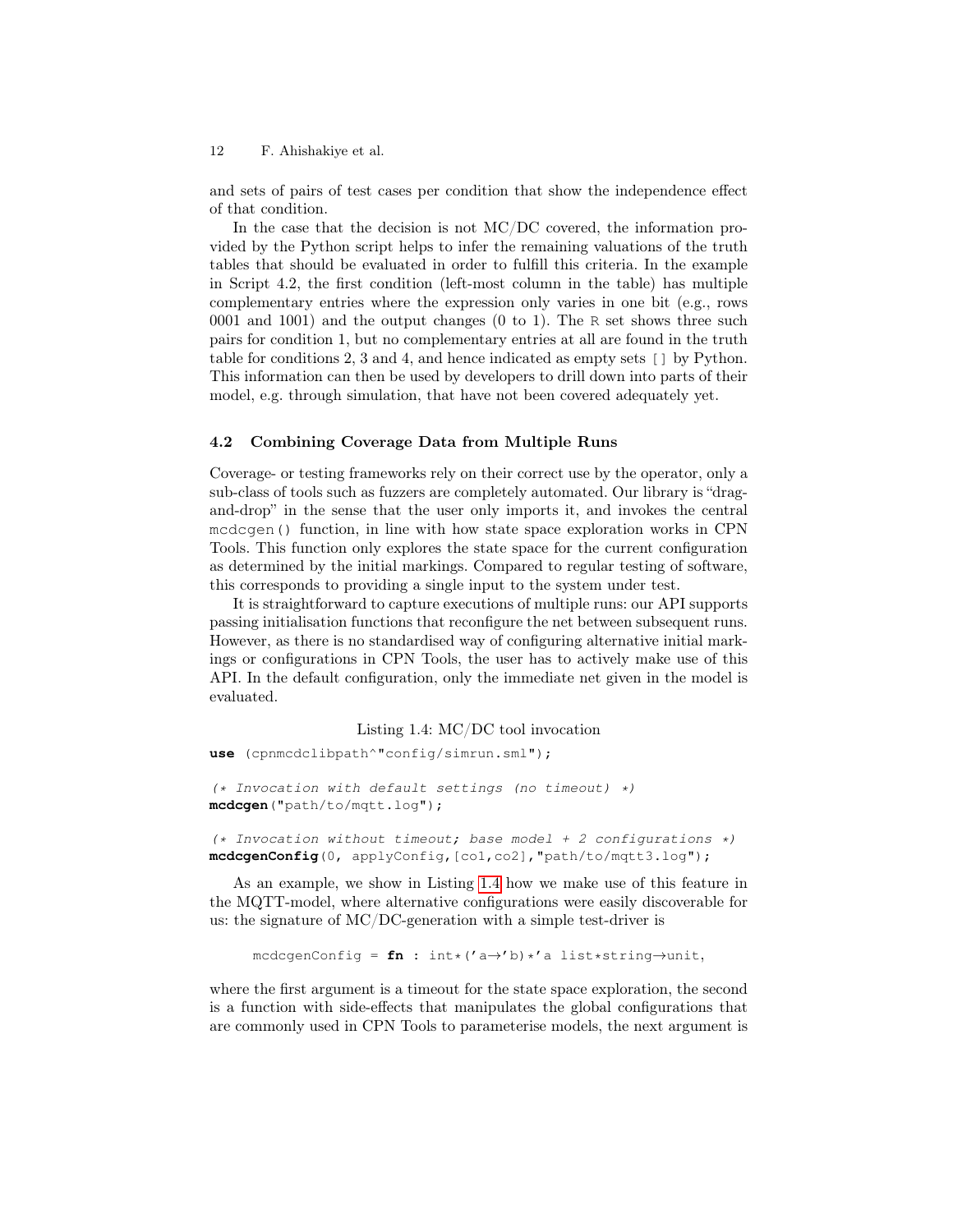and sets of pairs of test cases per condition that show the independence effect of that condition.

In the case that the decision is not MC/DC covered, the information provided by the Python script helps to infer the remaining valuations of the truth tables that should be evaluated in order to fulfill this criteria. In the example in Script 4.2, the first condition (left-most column in the table) has multiple complementary entries where the expression only varies in one bit (e.g., rows 0001 and 1001) and the output changes (0 to 1). The R set shows three such pairs for condition 1, but no complementary entries at all are found in the truth table for conditions 2, 3 and 4, and hence indicated as empty sets [] by Python. This information can then be used by developers to drill down into parts of their model, e.g. through simulation, that have not been covered adequately yet.

#### 4.2 Combining Coverage Data from Multiple Runs

Coverage- or testing frameworks rely on their correct use by the operator, only a sub-class of tools such as fuzzers are completely automated. Our library is "dragand-drop" in the sense that the user only imports it, and invokes the central mcdcgen() function, in line with how state space exploration works in CPN Tools. This function only explores the state space for the current configuration as determined by the initial markings. Compared to regular testing of software, this corresponds to providing a single input to the system under test.

It is straightforward to capture executions of multiple runs: our API supports passing initialisation functions that reconfigure the net between subsequent runs. However, as there is no standardised way of configuring alternative initial markings or configurations in CPN Tools, the user has to actively make use of this API. In the default configuration, only the immediate net given in the model is evaluated.

### Listing 1.4: MC/DC tool invocation

<span id="page-11-0"></span>**use** (cpnmcdclibpath^"config/simrun.sml");

```
(* Invocation with default settings (no timeout) *)
mcdcgen("path/to/mqtt.log");
```
 $(*$  Invocation without timeout; base model + 2 configurations  $*)$ **mcdcgenConfig**(0, applyConfig,[co1,co2],"path/to/mqtt3.log");

As an example, we show in Listing [1.4](#page-11-0) how we make use of this feature in the MQTT-model, where alternative configurations were easily discoverable for us: the signature of MC/DC-generation with a simple test-driver is

mcdcgenConfig =  $fn : int *('a \rightarrow' b) *' a list * string \rightarrow unit,$ 

where the first argument is a timeout for the state space exploration, the second is a function with side-effects that manipulates the global configurations that are commonly used in CPN Tools to parameterise models, the next argument is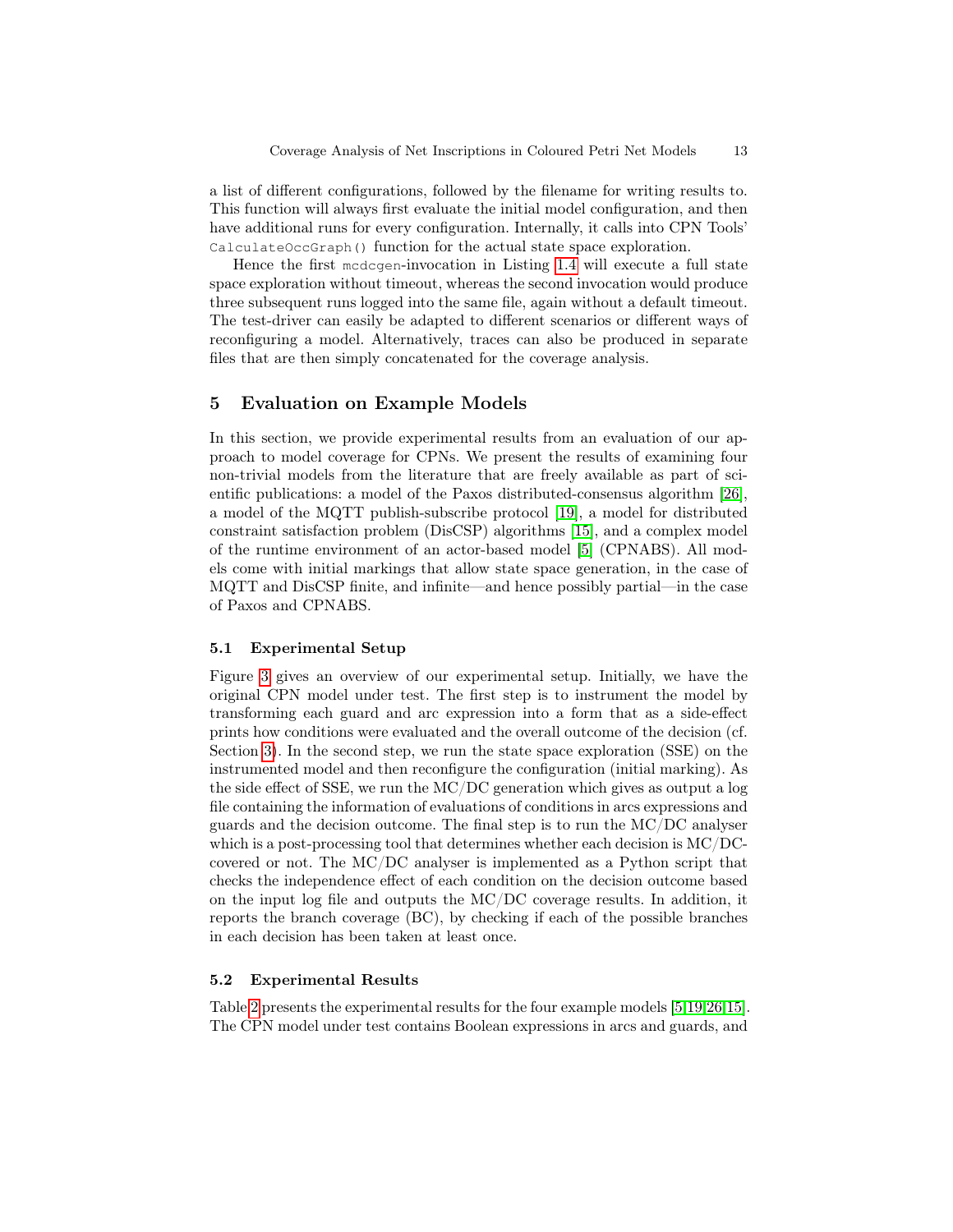a list of different configurations, followed by the filename for writing results to. This function will always first evaluate the initial model configuration, and then have additional runs for every configuration. Internally, it calls into CPN Tools' CalculateOccGraph() function for the actual state space exploration.

Hence the first mcdcgen-invocation in Listing [1.4](#page-11-0) will execute a full state space exploration without timeout, whereas the second invocation would produce three subsequent runs logged into the same file, again without a default timeout. The test-driver can easily be adapted to different scenarios or different ways of reconfiguring a model. Alternatively, traces can also be produced in separate files that are then simply concatenated for the coverage analysis.

## <span id="page-12-0"></span>5 Evaluation on Example Models

In this section, we provide experimental results from an evaluation of our approach to model coverage for CPNs. We present the results of examining four non-trivial models from the literature that are freely available as part of scientific publications: a model of the Paxos distributed-consensus algorithm [\[26\]](#page-19-6), a model of the MQTT publish-subscribe protocol [\[19\]](#page-19-5), a model for distributed constraint satisfaction problem (DisCSP) algorithms [\[15\]](#page-19-7), and a complex model of the runtime environment of an actor-based model [\[5\]](#page-18-9) (CPNABS). All models come with initial markings that allow state space generation, in the case of MQTT and DisCSP finite, and infinite—and hence possibly partial—in the case of Paxos and CPNABS.

## 5.1 Experimental Setup

Figure [3](#page-13-0) gives an overview of our experimental setup. Initially, we have the original CPN model under test. The first step is to instrument the model by transforming each guard and arc expression into a form that as a side-effect prints how conditions were evaluated and the overall outcome of the decision (cf. Section [3\)](#page-5-0). In the second step, we run the state space exploration (SSE) on the instrumented model and then reconfigure the configuration (initial marking). As the side effect of SSE, we run the MC/DC generation which gives as output a log file containing the information of evaluations of conditions in arcs expressions and guards and the decision outcome. The final step is to run the MC/DC analyser which is a post-processing tool that determines whether each decision is MC/DCcovered or not. The MC/DC analyser is implemented as a Python script that checks the independence effect of each condition on the decision outcome based on the input log file and outputs the MC/DC coverage results. In addition, it reports the branch coverage (BC), by checking if each of the possible branches in each decision has been taken at least once.

## 5.2 Experimental Results

Table [2](#page-13-1) presents the experimental results for the four example models [\[5,](#page-18-9)[19,](#page-19-5)[26,](#page-19-6)[15\]](#page-19-7). The CPN model under test contains Boolean expressions in arcs and guards, and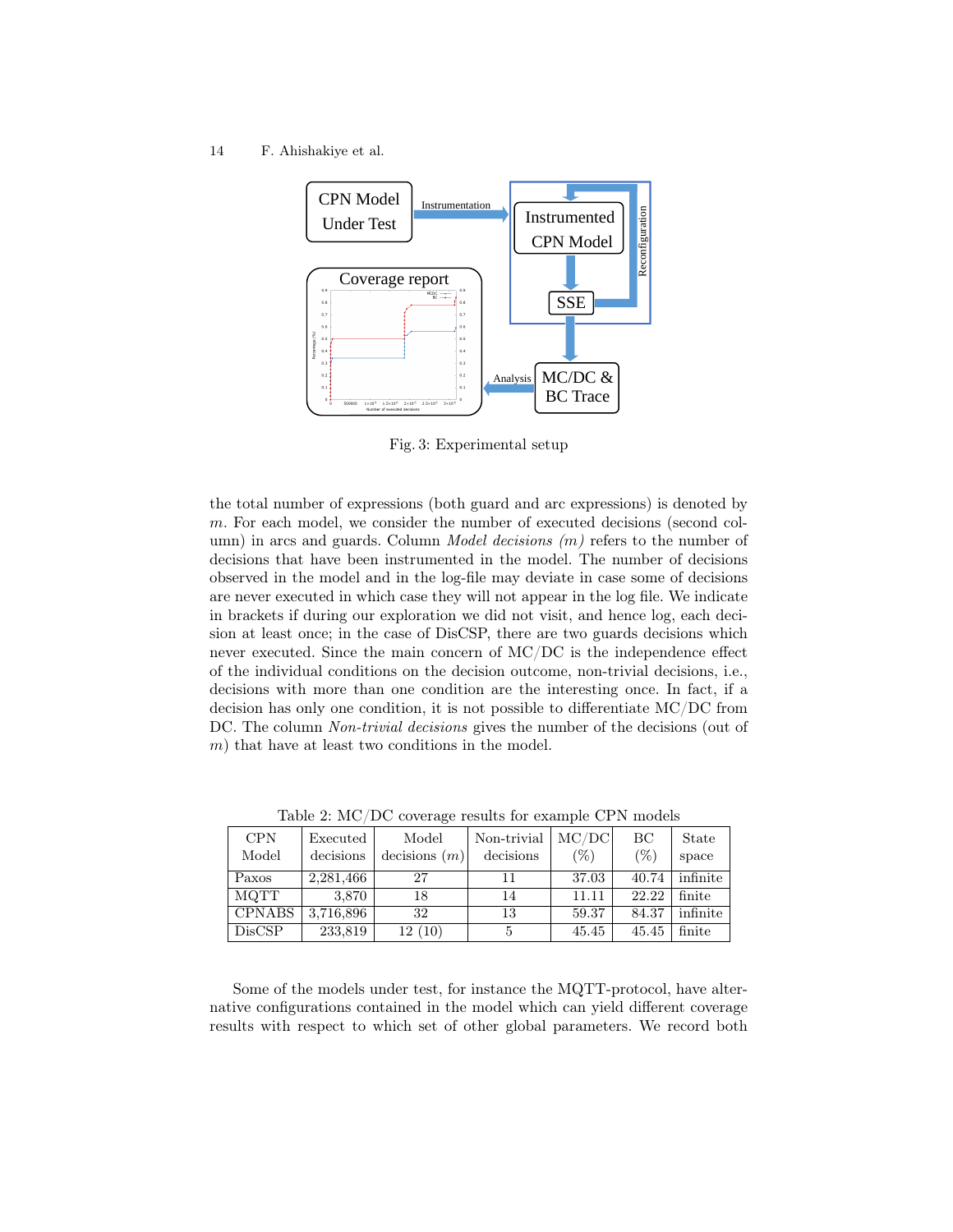<span id="page-13-0"></span>

Fig. 3: Experimental setup

the total number of expressions (both guard and arc expressions) is denoted by m. For each model, we consider the number of executed decisions (second column) in arcs and guards. Column *Model decisions*  $(m)$  refers to the number of decisions that have been instrumented in the model. The number of decisions observed in the model and in the log-file may deviate in case some of decisions are never executed in which case they will not appear in the log file. We indicate in brackets if during our exploration we did not visit, and hence log, each decision at least once; in the case of DisCSP, there are two guards decisions which never executed. Since the main concern of  $MC/DC$  is the independence effect of the individual conditions on the decision outcome, non-trivial decisions, i.e., decisions with more than one condition are the interesting once. In fact, if a decision has only one condition, it is not possible to differentiate MC/DC from DC. The column Non-trivial decisions gives the number of the decisions (out of  $m$ ) that have at least two conditions in the model.

<span id="page-13-1"></span>

| <b>CPN</b><br>Model | Executed<br>decisions | Model<br>decisions $(m)$ | Non-trivial<br>decisions | MC/DC<br>$(\%)$ | BC<br>$(\% )$ | State<br>space |
|---------------------|-----------------------|--------------------------|--------------------------|-----------------|---------------|----------------|
| Paxos               | 2,281,466             | 27                       | 11                       | 37.03           | 40.74         | infinite       |
| <b>MQTT</b>         | 3.870                 | 18                       | 14                       | 11.11           | 22.22         | finite         |
| <b>CPNABS</b>       | 3,716,896             | 32                       | 13                       | 59.37           | 84.37         | infinite       |
| DisCSP              | 233,819               | 12(10)                   | 5                        | 45.45           | 45.45         | finite         |

Table 2: MC/DC coverage results for example CPN models

Some of the models under test, for instance the MQTT-protocol, have alternative configurations contained in the model which can yield different coverage results with respect to which set of other global parameters. We record both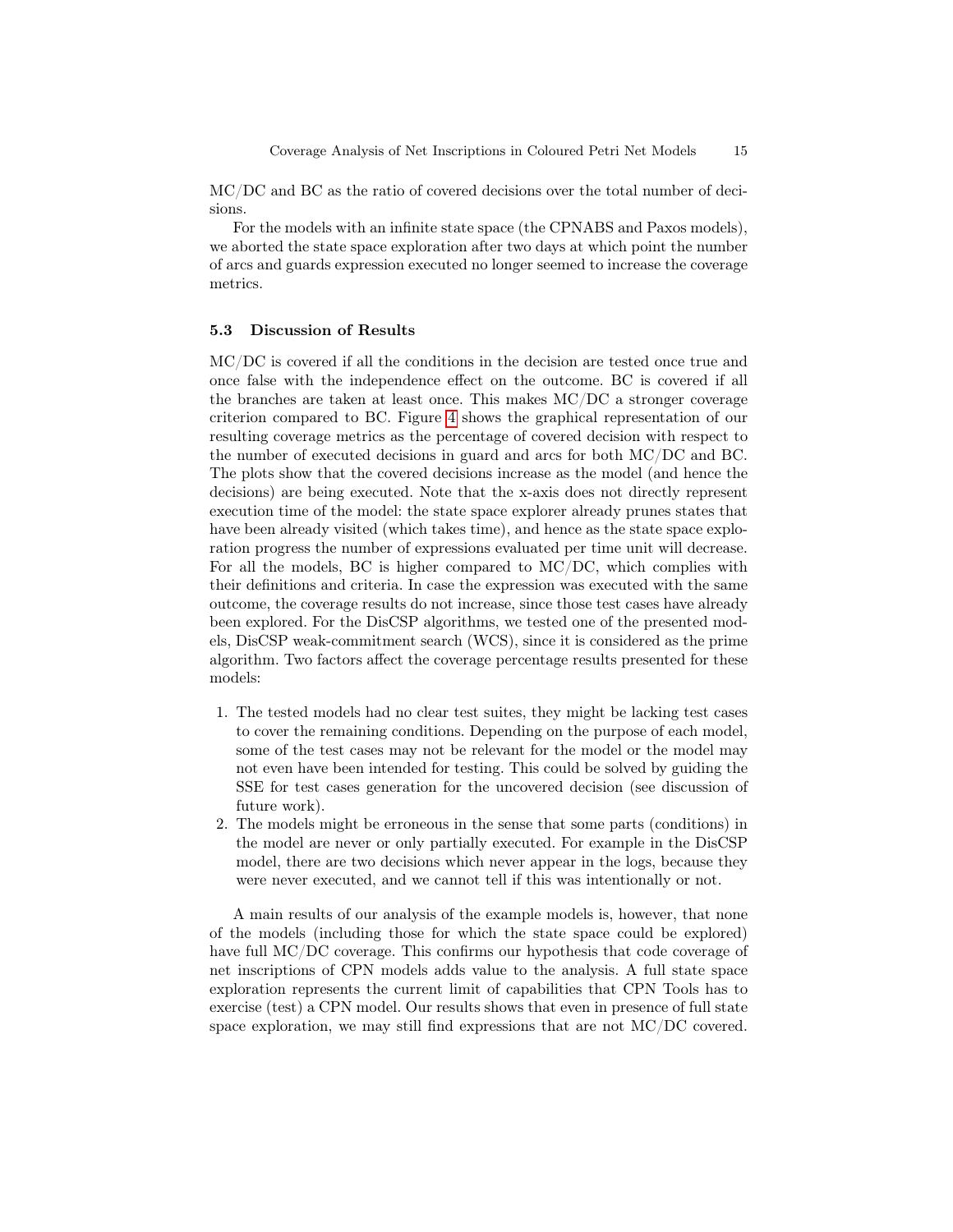MC/DC and BC as the ratio of covered decisions over the total number of decisions.

For the models with an infinite state space (the CPNABS and Paxos models), we aborted the state space exploration after two days at which point the number of arcs and guards expression executed no longer seemed to increase the coverage metrics.

## 5.3 Discussion of Results

MC/DC is covered if all the conditions in the decision are tested once true and once false with the independence effect on the outcome. BC is covered if all the branches are taken at least once. This makes MC/DC a stronger coverage criterion compared to BC. Figure [4](#page-15-1) shows the graphical representation of our resulting coverage metrics as the percentage of covered decision with respect to the number of executed decisions in guard and arcs for both MC/DC and BC. The plots show that the covered decisions increase as the model (and hence the decisions) are being executed. Note that the x-axis does not directly represent execution time of the model: the state space explorer already prunes states that have been already visited (which takes time), and hence as the state space exploration progress the number of expressions evaluated per time unit will decrease. For all the models, BC is higher compared to MC/DC, which complies with their definitions and criteria. In case the expression was executed with the same outcome, the coverage results do not increase, since those test cases have already been explored. For the DisCSP algorithms, we tested one of the presented models, DisCSP weak-commitment search (WCS), since it is considered as the prime algorithm. Two factors affect the coverage percentage results presented for these models:

- 1. The tested models had no clear test suites, they might be lacking test cases to cover the remaining conditions. Depending on the purpose of each model, some of the test cases may not be relevant for the model or the model may not even have been intended for testing. This could be solved by guiding the SSE for test cases generation for the uncovered decision (see discussion of future work).
- 2. The models might be erroneous in the sense that some parts (conditions) in the model are never or only partially executed. For example in the DisCSP model, there are two decisions which never appear in the logs, because they were never executed, and we cannot tell if this was intentionally or not.

A main results of our analysis of the example models is, however, that none of the models (including those for which the state space could be explored) have full MC/DC coverage. This confirms our hypothesis that code coverage of net inscriptions of CPN models adds value to the analysis. A full state space exploration represents the current limit of capabilities that CPN Tools has to exercise (test) a CPN model. Our results shows that even in presence of full state space exploration, we may still find expressions that are not MC/DC covered.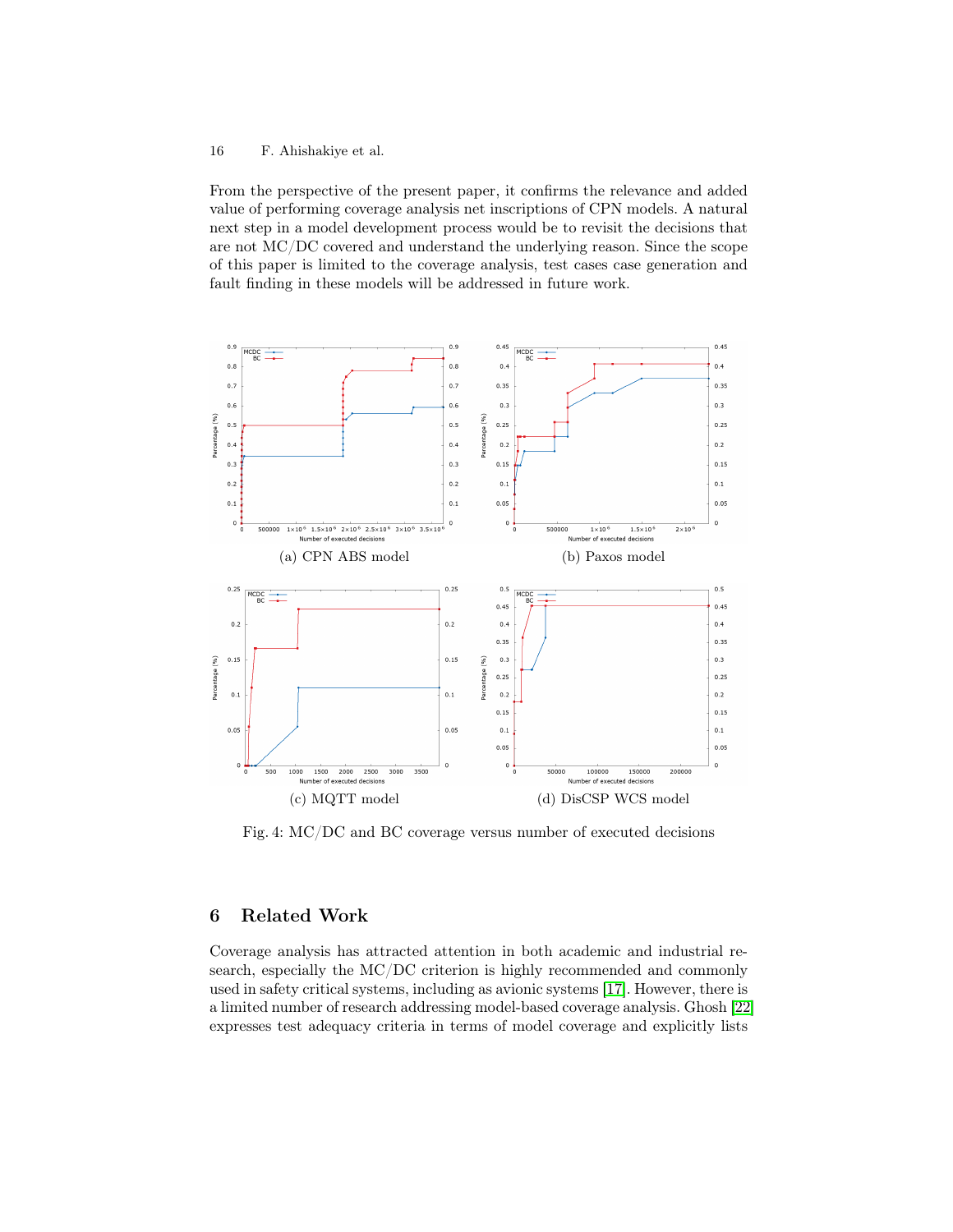From the perspective of the present paper, it confirms the relevance and added value of performing coverage analysis net inscriptions of CPN models. A natural next step in a model development process would be to revisit the decisions that are not MC/DC covered and understand the underlying reason. Since the scope of this paper is limited to the coverage analysis, test cases case generation and fault finding in these models will be addressed in future work.

<span id="page-15-1"></span>

Fig. 4: MC/DC and BC coverage versus number of executed decisions

# <span id="page-15-0"></span>6 Related Work

Coverage analysis has attracted attention in both academic and industrial research, especially the MC/DC criterion is highly recommended and commonly used in safety critical systems, including as avionic systems [\[17\]](#page-19-1). However, there is a limited number of research addressing model-based coverage analysis. Ghosh [\[22\]](#page-19-8) expresses test adequacy criteria in terms of model coverage and explicitly lists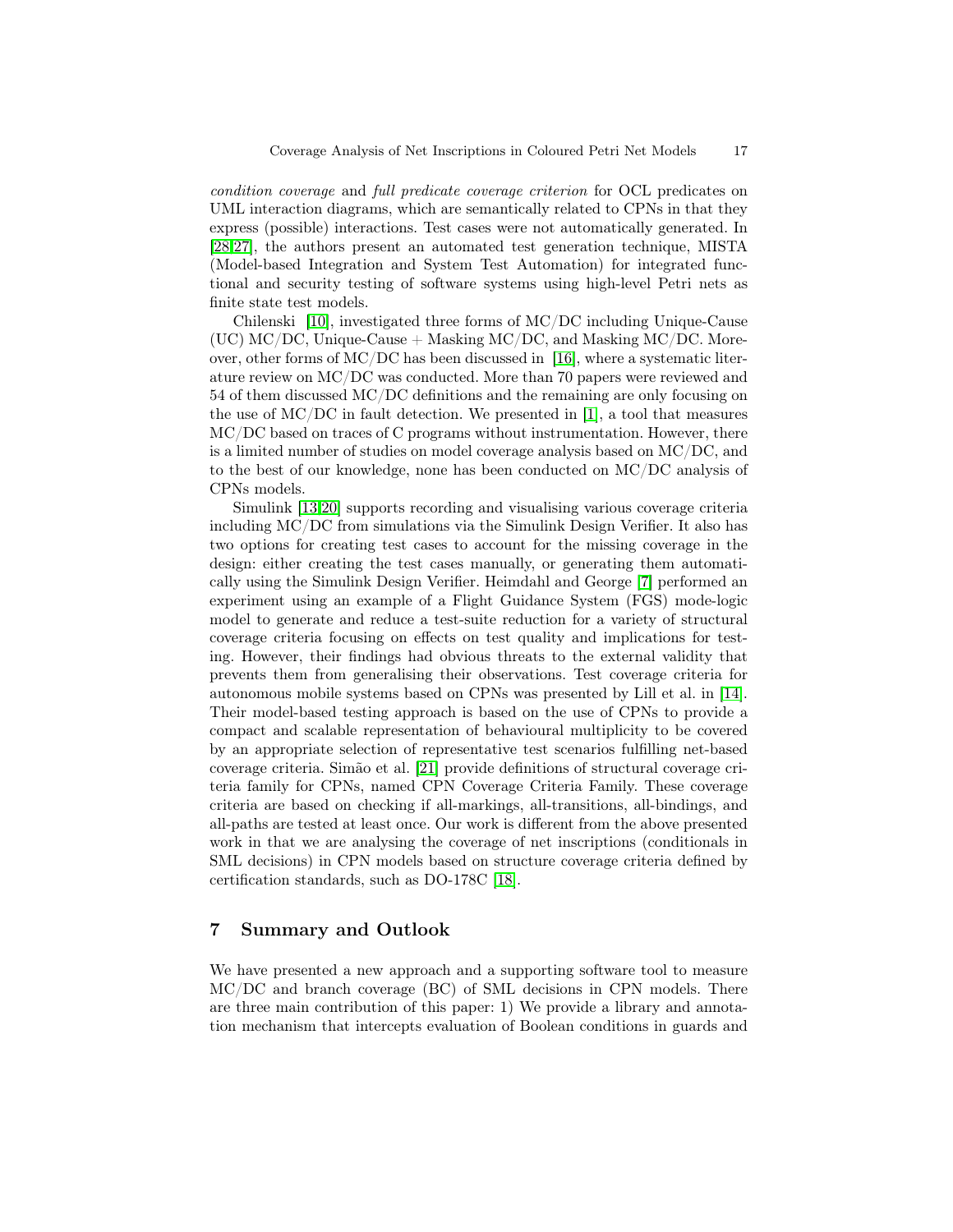condition coverage and full predicate coverage criterion for OCL predicates on UML interaction diagrams, which are semantically related to CPNs in that they express (possible) interactions. Test cases were not automatically generated. In [\[28](#page-19-9)[,27\]](#page-19-10), the authors present an automated test generation technique, MISTA (Model-based Integration and System Test Automation) for integrated functional and security testing of software systems using high-level Petri nets as finite state test models.

Chilenski [\[10\]](#page-18-6), investigated three forms of MC/DC including Unique-Cause (UC) MC/DC, Unique-Cause  $+$  Masking MC/DC, and Masking MC/DC. Moreover, other forms of MC/DC has been discussed in [\[16\]](#page-19-11), where a systematic literature review on MC/DC was conducted. More than 70 papers were reviewed and 54 of them discussed MC/DC definitions and the remaining are only focusing on the use of MC/DC in fault detection. We presented in [\[1\]](#page-18-10), a tool that measures MC/DC based on traces of C programs without instrumentation. However, there is a limited number of studies on model coverage analysis based on MC/DC, and to the best of our knowledge, none has been conducted on MC/DC analysis of CPNs models.

Simulink [\[13,](#page-18-11)[20\]](#page-19-12) supports recording and visualising various coverage criteria including MC/DC from simulations via the Simulink Design Verifier. It also has two options for creating test cases to account for the missing coverage in the design: either creating the test cases manually, or generating them automatically using the Simulink Design Verifier. Heimdahl and George [\[7\]](#page-18-12) performed an experiment using an example of a Flight Guidance System (FGS) mode-logic model to generate and reduce a test-suite reduction for a variety of structural coverage criteria focusing on effects on test quality and implications for testing. However, their findings had obvious threats to the external validity that prevents them from generalising their observations. Test coverage criteria for autonomous mobile systems based on CPNs was presented by Lill et al. in [\[14\]](#page-18-13). Their model-based testing approach is based on the use of CPNs to provide a compact and scalable representation of behavioural multiplicity to be covered by an appropriate selection of representative test scenarios fulfilling net-based coverage criteria. Simão et al. [\[21\]](#page-19-13) provide definitions of structural coverage criteria family for CPNs, named CPN Coverage Criteria Family. These coverage criteria are based on checking if all-markings, all-transitions, all-bindings, and all-paths are tested at least once. Our work is different from the above presented work in that we are analysing the coverage of net inscriptions (conditionals in SML decisions) in CPN models based on structure coverage criteria defined by certification standards, such as DO-178C [\[18\]](#page-19-2).

## <span id="page-16-0"></span>7 Summary and Outlook

We have presented a new approach and a supporting software tool to measure MC/DC and branch coverage (BC) of SML decisions in CPN models. There are three main contribution of this paper: 1) We provide a library and annotation mechanism that intercepts evaluation of Boolean conditions in guards and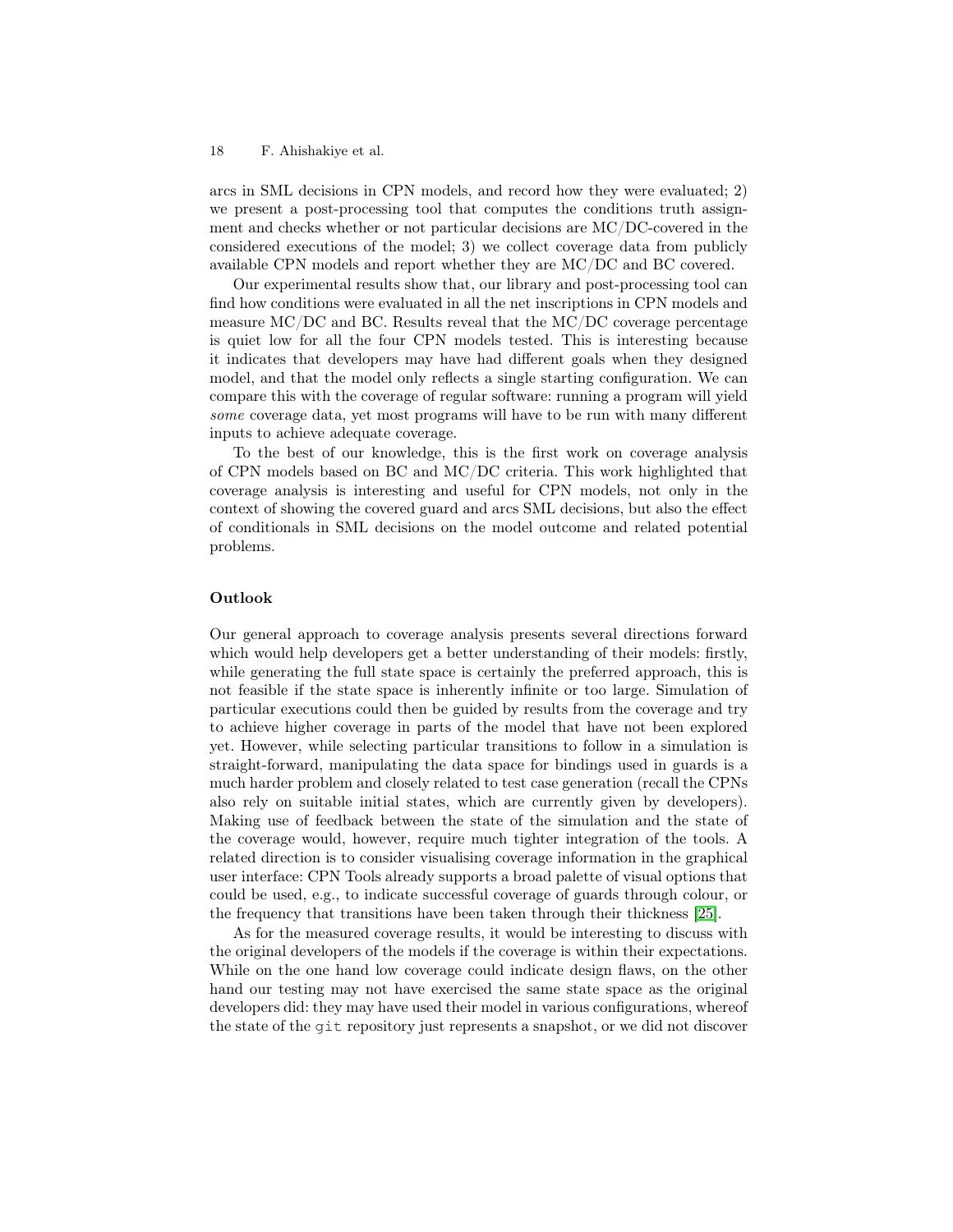arcs in SML decisions in CPN models, and record how they were evaluated; 2) we present a post-processing tool that computes the conditions truth assignment and checks whether or not particular decisions are MC/DC-covered in the considered executions of the model; 3) we collect coverage data from publicly available CPN models and report whether they are MC/DC and BC covered.

Our experimental results show that, our library and post-processing tool can find how conditions were evaluated in all the net inscriptions in CPN models and measure MC/DC and BC. Results reveal that the MC/DC coverage percentage is quiet low for all the four CPN models tested. This is interesting because it indicates that developers may have had different goals when they designed model, and that the model only reflects a single starting configuration. We can compare this with the coverage of regular software: running a program will yield some coverage data, yet most programs will have to be run with many different inputs to achieve adequate coverage.

To the best of our knowledge, this is the first work on coverage analysis of CPN models based on BC and MC/DC criteria. This work highlighted that coverage analysis is interesting and useful for CPN models, not only in the context of showing the covered guard and arcs SML decisions, but also the effect of conditionals in SML decisions on the model outcome and related potential problems.

## Outlook

Our general approach to coverage analysis presents several directions forward which would help developers get a better understanding of their models: firstly, while generating the full state space is certainly the preferred approach, this is not feasible if the state space is inherently infinite or too large. Simulation of particular executions could then be guided by results from the coverage and try to achieve higher coverage in parts of the model that have not been explored yet. However, while selecting particular transitions to follow in a simulation is straight-forward, manipulating the data space for bindings used in guards is a much harder problem and closely related to test case generation (recall the CPNs also rely on suitable initial states, which are currently given by developers). Making use of feedback between the state of the simulation and the state of the coverage would, however, require much tighter integration of the tools. A related direction is to consider visualising coverage information in the graphical user interface: CPN Tools already supports a broad palette of visual options that could be used, e.g., to indicate successful coverage of guards through colour, or the frequency that transitions have been taken through their thickness [\[25\]](#page-19-14).

As for the measured coverage results, it would be interesting to discuss with the original developers of the models if the coverage is within their expectations. While on the one hand low coverage could indicate design flaws, on the other hand our testing may not have exercised the same state space as the original developers did: they may have used their model in various configurations, whereof the state of the git repository just represents a snapshot, or we did not discover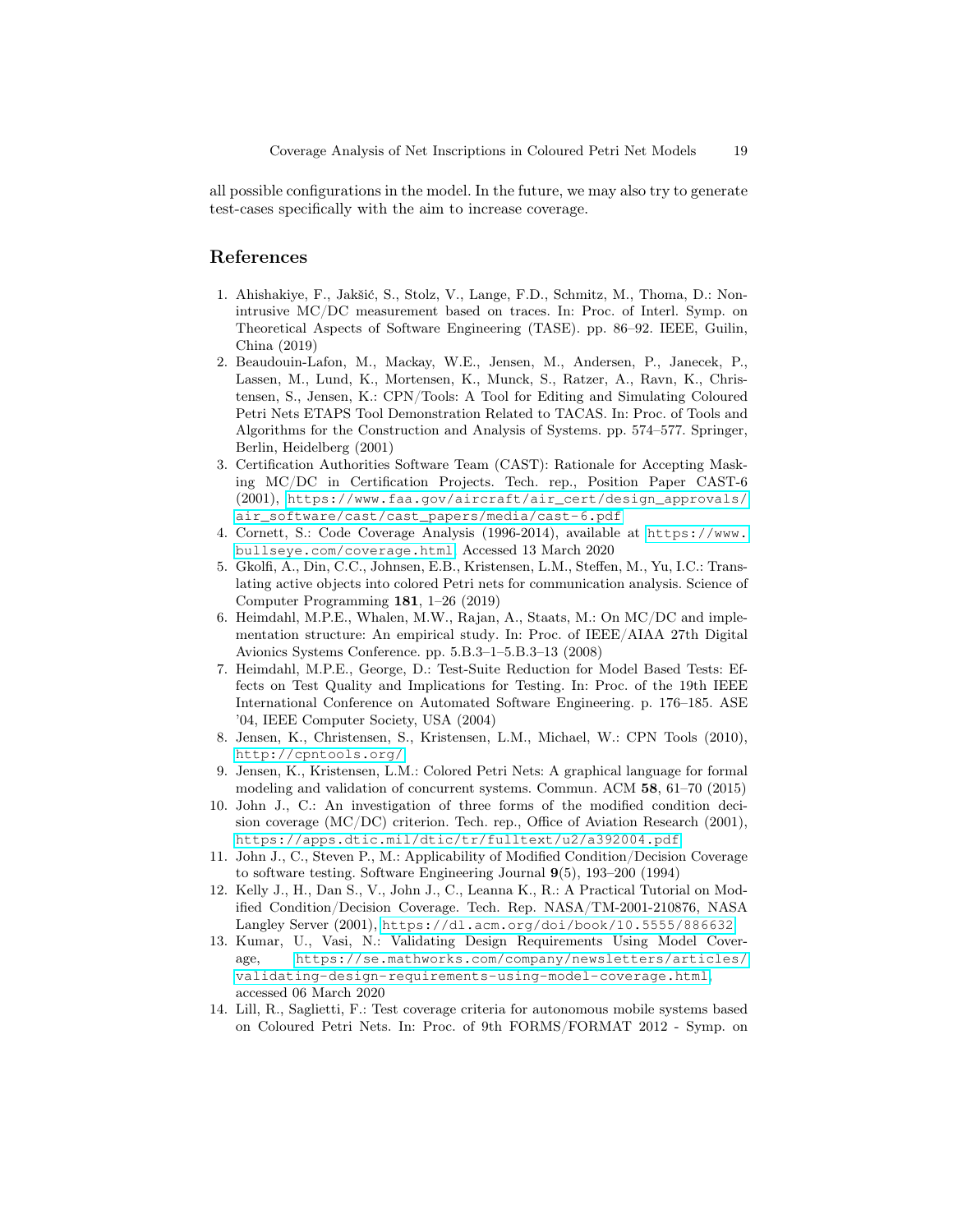all possible configurations in the model. In the future, we may also try to generate test-cases specifically with the aim to increase coverage.

# References

- <span id="page-18-10"></span>1. Ahishakiye, F., Jakšić, S., Stolz, V., Lange, F.D., Schmitz, M., Thoma, D.: Nonintrusive MC/DC measurement based on traces. In: Proc. of Interl. Symp. on Theoretical Aspects of Software Engineering (TASE). pp. 86–92. IEEE, Guilin, China (2019)
- <span id="page-18-3"></span>2. Beaudouin-Lafon, M., Mackay, W.E., Jensen, M., Andersen, P., Janecek, P., Lassen, M., Lund, K., Mortensen, K., Munck, S., Ratzer, A., Ravn, K., Christensen, S., Jensen, K.: CPN/Tools: A Tool for Editing and Simulating Coloured Petri Nets ETAPS Tool Demonstration Related to TACAS. In: Proc. of Tools and Algorithms for the Construction and Analysis of Systems. pp. 574–577. Springer, Berlin, Heidelberg (2001)
- <span id="page-18-8"></span>3. Certification Authorities Software Team (CAST): Rationale for Accepting Masking MC/DC in Certification Projects. Tech. rep., Position Paper CAST-6 (2001), [https://www.faa.gov/aircraft/air\\_cert/design\\_approvals/](https://www.faa.gov/aircraft/air_cert/design_approvals/air_software/cast/cast_papers/media/cast-6.pdf) [air\\_software/cast/cast\\_papers/media/cast-6.pdf](https://www.faa.gov/aircraft/air_cert/design_approvals/air_software/cast/cast_papers/media/cast-6.pdf)
- <span id="page-18-5"></span>4. Cornett, S.: Code Coverage Analysis (1996-2014), available at [https://www.](https://www.bullseye.com/coverage.html) [bullseye.com/coverage.html](https://www.bullseye.com/coverage.html), Accessed 13 March 2020
- <span id="page-18-9"></span>5. Gkolfi, A., Din, C.C., Johnsen, E.B., Kristensen, L.M., Steffen, M., Yu, I.C.: Translating active objects into colored Petri nets for communication analysis. Science of Computer Programming 181, 1–26 (2019)
- <span id="page-18-7"></span>6. Heimdahl, M.P.E., Whalen, M.W., Rajan, A., Staats, M.: On MC/DC and implementation structure: An empirical study. In: Proc. of IEEE/AIAA 27th Digital Avionics Systems Conference. pp. 5.B.3–1–5.B.3–13 (2008)
- <span id="page-18-12"></span>7. Heimdahl, M.P.E., George, D.: Test-Suite Reduction for Model Based Tests: Effects on Test Quality and Implications for Testing. In: Proc. of the 19th IEEE International Conference on Automated Software Engineering. p. 176–185. ASE '04, IEEE Computer Society, USA (2004)
- <span id="page-18-2"></span>8. Jensen, K., Christensen, S., Kristensen, L.M., Michael, W.: CPN Tools (2010), <http://cpntools.org/>
- <span id="page-18-1"></span>9. Jensen, K., Kristensen, L.M.: Colored Petri Nets: A graphical language for formal modeling and validation of concurrent systems. Commun. ACM 58, 61–70 (2015)
- <span id="page-18-6"></span>10. John J., C.: An investigation of three forms of the modified condition decision coverage (MC/DC) criterion. Tech. rep., Office of Aviation Research (2001), <https://apps.dtic.mil/dtic/tr/fulltext/u2/a392004.pdf>
- <span id="page-18-4"></span>11. John J., C., Steven P., M.: Applicability of Modified Condition/Decision Coverage to software testing. Software Engineering Journal 9(5), 193–200 (1994)
- <span id="page-18-0"></span>12. Kelly J., H., Dan S., V., John J., C., Leanna K., R.: A Practical Tutorial on Modified Condition/Decision Coverage. Tech. Rep. NASA/TM-2001-210876, NASA Langley Server (2001), <https://dl.acm.org/doi/book/10.5555/886632>
- <span id="page-18-11"></span>13. Kumar, U., Vasi, N.: Validating Design Requirements Using Model Coverage, [https://se.mathworks.com/company/newsletters/articles/](https://se.mathworks.com/company/newsletters/articles/validating-design-requirements-using-model-coverage.html) [validating-design-requirements-using-model-coverage.html](https://se.mathworks.com/company/newsletters/articles/validating-design-requirements-using-model-coverage.html), accessed 06 March 2020
- <span id="page-18-13"></span>14. Lill, R., Saglietti, F.: Test coverage criteria for autonomous mobile systems based on Coloured Petri Nets. In: Proc. of 9th FORMS/FORMAT 2012 - Symp. on